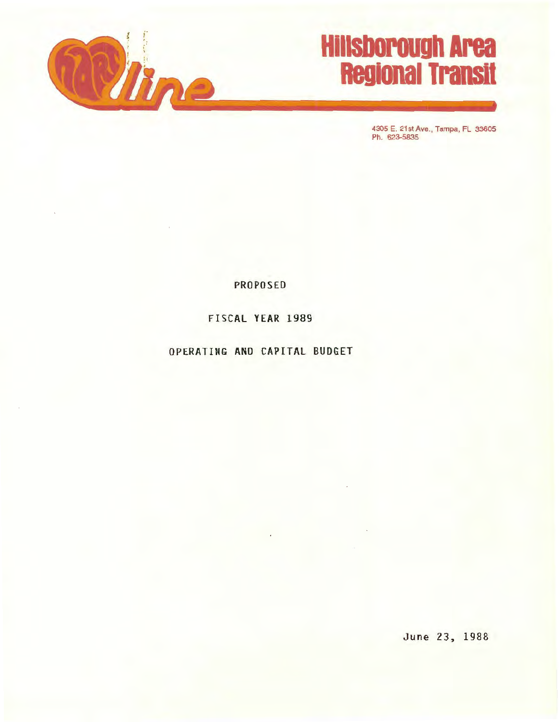

# **Hillsborough Area<br>Regional Transit**

4305 E. 21st Ave., Tampa, FL 33605 Ph. 623-5835

#### PROPOSED

### FISCAL YEAR 1989

#### OPERATING AND CAPITAL BUDGET

June 23, 1988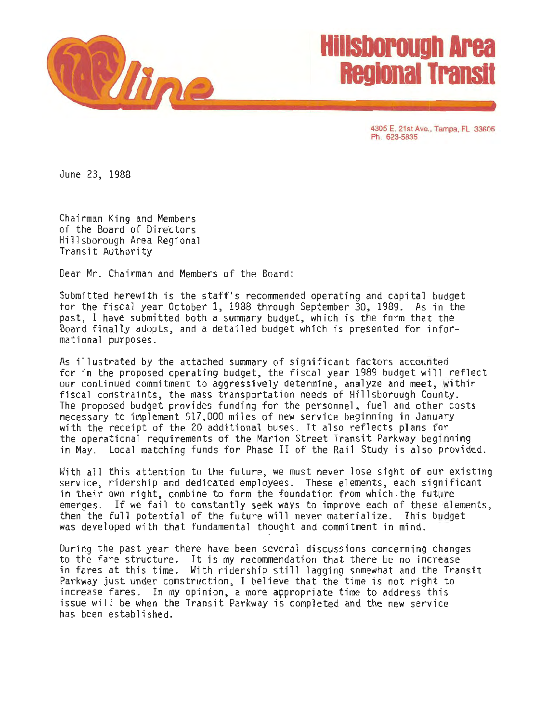

# **HlllSbOrough Area Regional Transit**

4305 E. 21st Ave., Tampa, FL 33605 Ph. 623-5835

June 23, 1988

Chairman King and Members of the Board of Directors Hillsborough Area Regional Transit Authority

Dear Mr. Chairman and Members of the Board:

Submitted herewith is the staff's recommended operating and capital budget for the fiscal year October 1, 1988 through September 30, 1989. As in the past, I have submitted both a summary budget, which is the form that the Board finally adopts, and a detailed budget which is presented for informational purposes.

As illustrated by the attached summary of significant factors accounted for in the proposed operating budget, the fiscal year 1989 budget will reflect our continued commitment to aggressively determine, analyze and meet, within fiscal constraints, the mass transportation needs of Hillsborough County. The proposed budget provides funding for the personnel, fuel and other costs necessary to implement 517,000 miles of new service beginning in January with the receipt of the 20 additional buses. It also reflects plans for the operational requirements of the Marion Street Transit Parkway beginning in May. Local matching funds for Phase II of the Rail Study is also provided.

With all this attention to the future, we must never lose sight of our existing service, ridership and dedicated employees. These elements, each significant in their own right, combine to form the foundation from which . the future emerges. If we fail to constantly seek ways to improve each of these elements, then the full potential of the future will never materialize. This budget was developed with that fundamental thought and commitment in mind.

' During the past year there have been several discussions concerning changes to the fare structure. It is my recommendation that there be no increase in fares at this time. With ridership still lagging somewhat and the Transit Parkway just under construction, I believe that the time is not right to increase fares. In my opinion, a more appropriate time to address this issue will be when the Transit Parkway is completed and the new service has been established.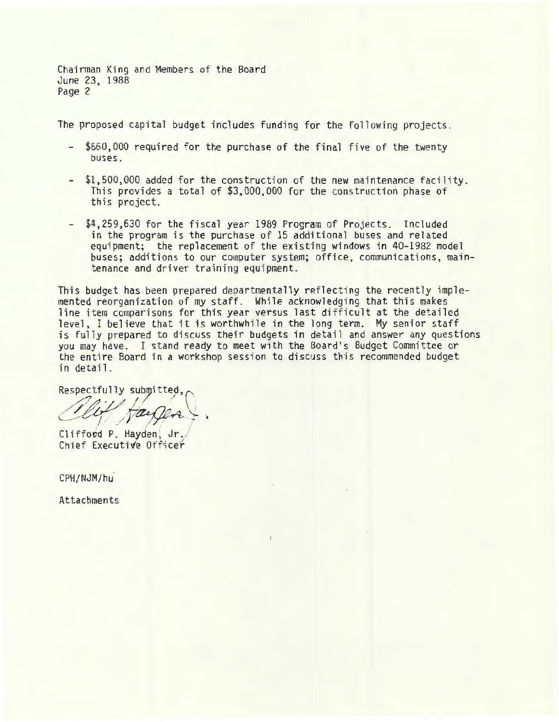Chairman King and Members of the Board June 23, 1988 Page 2

The proposed capital budget includes funding for the following projects.

- \$660,000 required for the purchase of the final five of the twenty buses.
- \$1,500,000 added for the construction of the new maintenance facility. This provides a total of \$3,000,000 for the construction phase of this project.
- \$4,259,630 for the fiscal year 1989 Program of Projects. Included in the program is the purchase of 15 additional buses and related equipment; the replacement of the existing windows in 40-1982 model buses; additions to our computer system; office, communications, maintenance and driver training equipment.

This budget has been prepared departmentally reflecting the recently implemented reorganization of my staff. While acknowledging that this makes line item comparisons for this year versus last difficult at the detailed<br>level, I believe that it is worthwhile in the long term. My senior staff is fully prepared to discuss their budgets in detail and answer any questions you may have. I stand ready to meet with the Board's Budget Committee or the entire Board in a workshop session to discuss this recommended budget in detail.

Respectfully submitted. Ali fayen.

Clifford P. Hayden, Jr. Chief Executive Officer

CPH/NJM/hu·

Attachments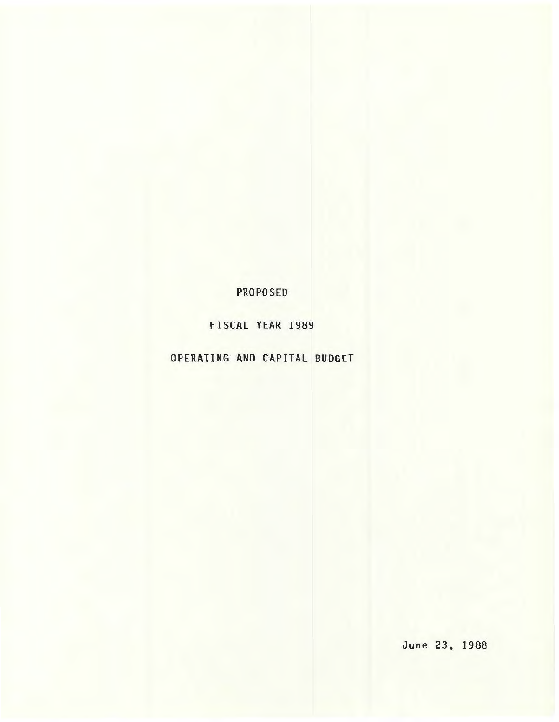PROPOSED

FISCAL YEAR 1989

OPERATING AND CAPITAL BUDGET

June 23, 1988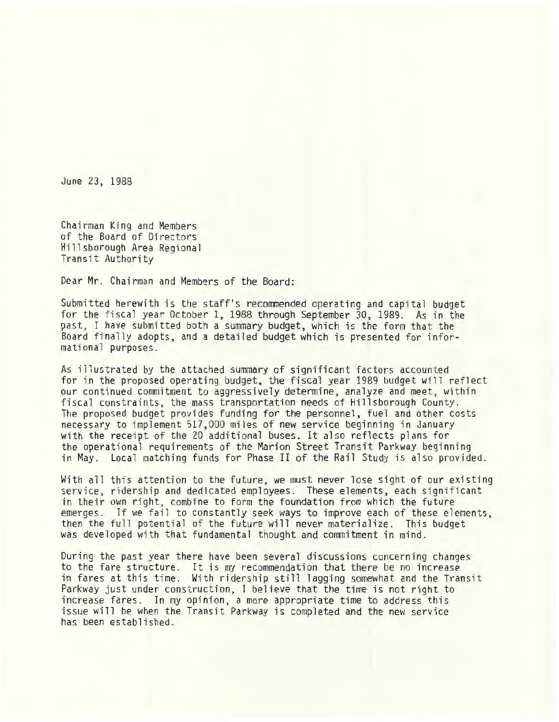June 23, 1988

Chairman King and Members of the Board of Directors Hillsborough Area Regional Transit Authority

Dear Mr. Chairman and Members of the Board:

Submitted herewith is the staff's recommended operating and capital budget for the fiscal year October 1, 1988 through September 30, 1989. As in the past, I have submi tted both a summary budget, which is the form that the Board finally adopts, and a detailed budget which is presented for informational purposes.

As illustrated by the attached summary of significant factors accounted for in the proposed operating budget, the fiscal year 1989 budget will reflect our continued commitment to aggressively determine, analyze and meet, within fiscal constraints, the mass transportation needs of Hillsborough County. The proposed budget provides funding for the personnel, fuel and other costs necessary to implement 517,000 miles of new service beginning in January with the receipt of the 20 additional buses. It also reflects plans for the operational requirements of the Marion Street Transit Parkway beginning in May. Local matching funds for Phase II of the Rail Study is also provided.

With all this attention to the future, we must never lose sight of our existing service, ridership and dedicated employees. These elements, each significant in their own right, combine to form the foundation from which the future emerges. If we fail to constantly seek ways to improve each of these elements, then the full potential of the future will never materialize. This budget was developed with that fundamental thought and commitment in mind.

During the past year there have been several discussions concerning changes to the fare structure. It is my recommendation that there be no increase in fares at this time. With ridership still lagging somewhat and the Transit Parkway just under construction, I believe that the time is not right to increase fares. In my opinion, a more appropriate time to address this issue will be when the Transit Parkway is completed and the new service has been established.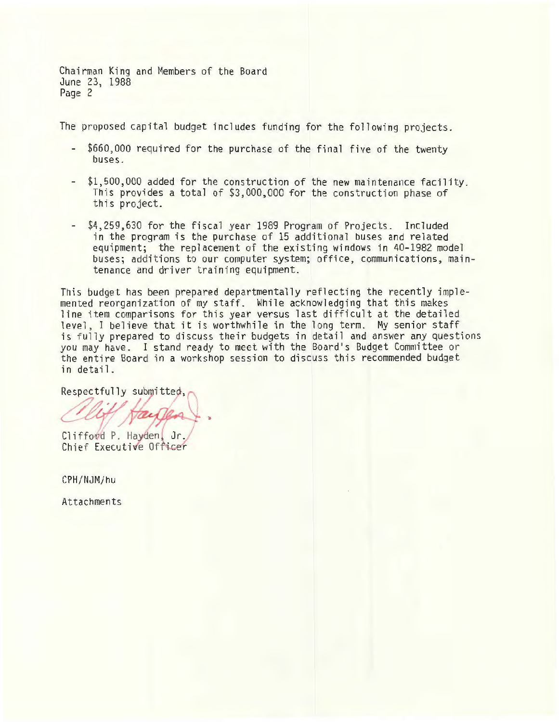Chairman King and Members of the Board June 23, 1988 Page 2

The proposed capital budget includes funding for the following projects.

- \$660,000 required for the purchase of the final five of the twenty buses.
- \$1,500,000 added for the construction of the new maintenance facility. This provides a total of \$3,000,000 for the construction phase of this project.
- \$4,259,630 for the fiscal year 1989 Program of Projects. Included in the program is the purchase of 15 additional buses and related equipment; the replacement of the existing windows in 40-1982 model buses; additions to our computer system; office, communications, maintenance and driver training equipment.

This budget has been prepared departmentally reflecting the recently implemented reorganization of my staff. While acknowledging that this makes line item comparisons for this year versus last difficult at the detailed level, I believe that it is worthwhile in the long term. My senior staff is fully prepared to discuss their budgets in detail and answer any questions you may have. I stand ready to meet with the Board's Budget Committee or the entire Board in a workshop session to discuss this recommended budget in detail.

Respectfully submitted,

 $\sim$ 

Clifford P. Hayden, Jr. Chief Executive Officer

CPH/NJM/hu

Attachments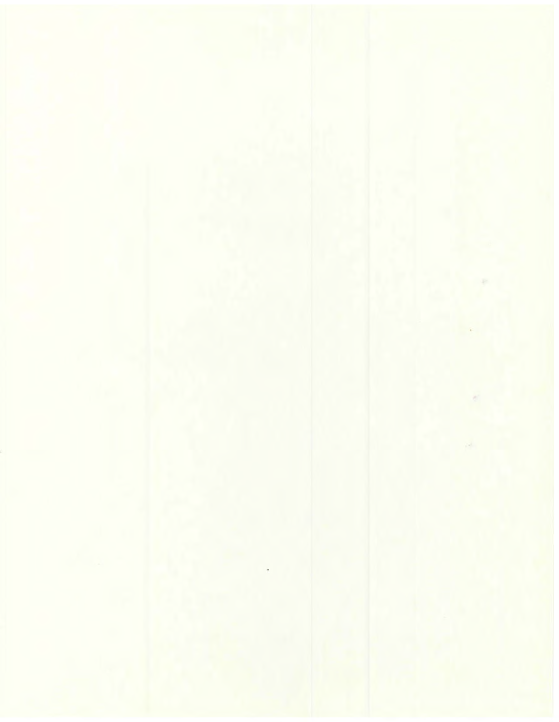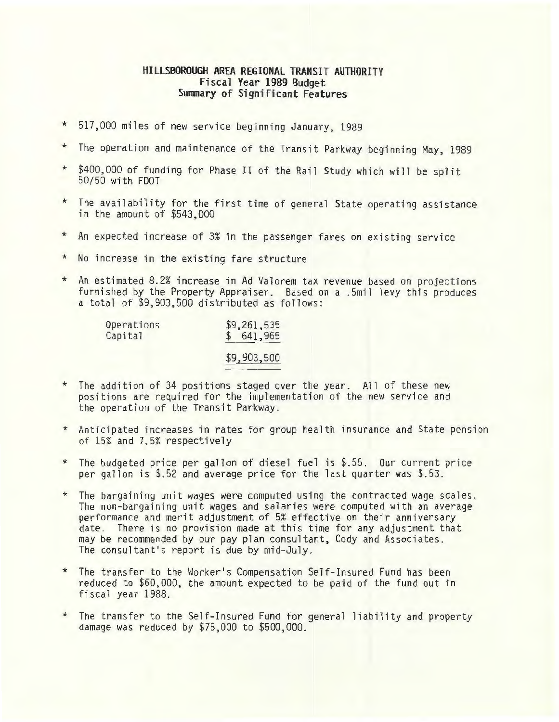#### **HILLSBOROUGH AREA REGIONAL TRANSIT AUTHORITY Fiscal Year 1989 Budget Summary of Significant Features**

- \* 517,000 miles of new service beginning January, 1989
- \* The operation and maintenance of the Transit Parkway beginning May, 1989
- \* \$400,000 of funding for Phase II of the Rail Study which will be split 50/50 with FOOT
- \* The availability for the first time of general State operating assistance in the amount of \$543,000
- \* An expected increase of 3% in the passenger fares on existing service
- \* No increase in the existing fare structure
- \* An estimated 8.2% increase in Ad Valorem tax revenue based on projections furnished by the Property Appraiser. Based on a .5mil levy this produces a total of \$9,903,500 distributed as follows:

| Operations | \$9,261,535 |
|------------|-------------|
| Capital    | \$641,965   |
|            | \$9,903,500 |
|            |             |

- \* The addition of 34 positions staged over the year. All of these new positions are required for the implementation of the new service and the operation of the Transit Parkway.
- \* Anticipated increases in rates for group health insurance and State pension of 15% and 7.5% respectively
- \* The budgeted price per gallon of diesel fuel is \$.55. Our current price per gallon is \$.52 and average price for the last quarter was \$.53.
- \* The bargaining unit wages were computed using the contracted wage scales. The non-bargaining unit wages and salaries were computed with an average performance and merit adjustment of 5% effective on their anniversary date. There is no provision made at this time for any adjustment that may be recommended by our pay plan consultant, Cody and Associates. The consultant's report is due by mid-July.
- \* The transfer to the Worker's Compensation Self-Insured Fund has been reduced to \$60,000, the amount expected to be paid of the fund out in fiscal year 1988.
- \* The transfer to the Self-Insured Fund for general liability and property damage was reduced by \$75,000 to \$500,000.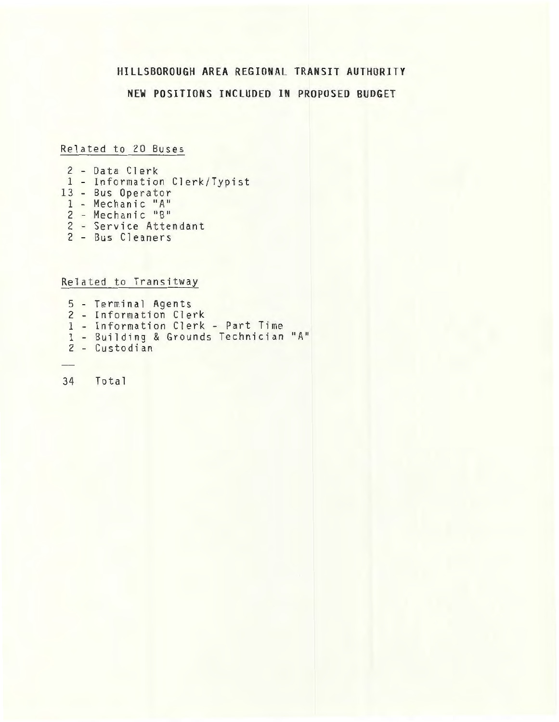#### **HILLSBOROUGH AREA REGIONAL TRANSIT AUTHORITY**

#### **NEW POSITIONS INCLUDED IN PROPOSED BUDGET**

Related to 20 Buses

2 - Data Clerk 1 - Information Clerk/Typist 13 - Bus Operator 1 - Mechanic "A" 2 - Mechanic "B" 2 - Service Atten dant 2 - Bus Cleaners

Related to Transitway

5 - Terminal Agents 2 - Informa tion Clerk 1 - Information Clerk - Part Time 1 - Building & Grounds Technician "A" 2 - Custodian

34 Total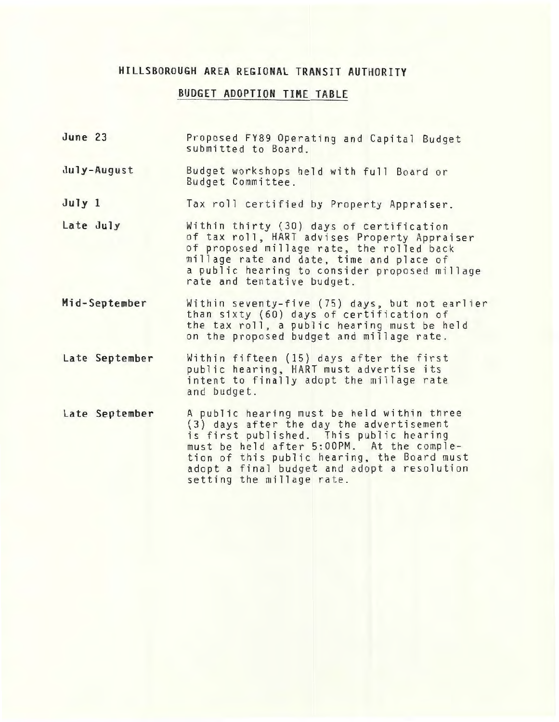# **HILLSBOROUGH AREA REGIONAL TRANSIT AUTHORITY**

# **BUDGET ADOPTION TIME TABLE**

| June 23        | Proposed FY89 Operating and Capital Budget<br>submitted to Board.                                                                                                                                                                                                                                         |
|----------------|-----------------------------------------------------------------------------------------------------------------------------------------------------------------------------------------------------------------------------------------------------------------------------------------------------------|
| July-August    | Budget workshops held with full Board or<br>Budget Committee.                                                                                                                                                                                                                                             |
| July 1         | Tax roll certified by Property Appraiser.                                                                                                                                                                                                                                                                 |
| Late July      | Within thirty (30) days of certification<br>of tax roll, HART advises Property Appraiser<br>of proposed millage rate, the rolled back<br>millage rate and date, time and place of<br>a public hearing to consider proposed millage<br>rate and tentative budget.                                          |
| Mid-September  | Within seventy-five (75) days, but not earlier<br>than sixty (60) days of certification of<br>the tax roll, a public hearing must be held<br>on the proposed budget and millage rate.                                                                                                                     |
| Late September | Within fifteen (15) days after the first<br>public hearing, HART must advertise its<br>intent to finally adopt the millage rate<br>and budget.                                                                                                                                                            |
| Late September | A public hearing must be held within three<br>(3) days after the day the advertisement<br>is first published. This public hearing<br>must be held after 5:00PM. At the comple-<br>tion of this public hearing, the Board must<br>adopt a final budget and adopt a resolution<br>setting the millage rate. |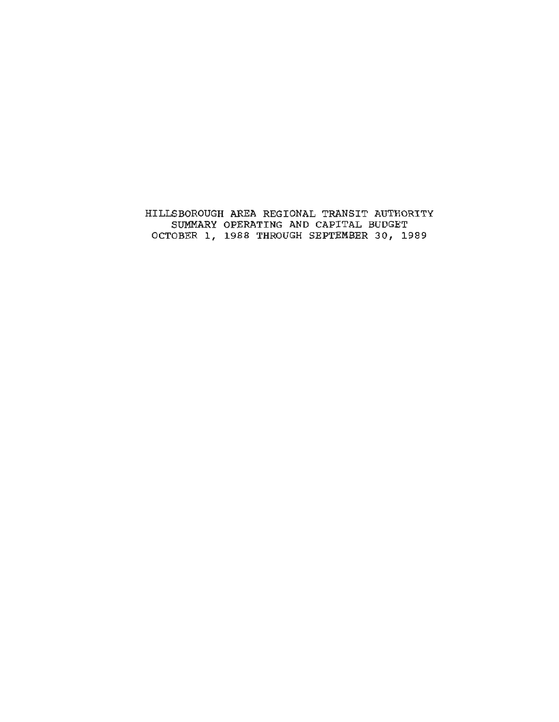HILLSBOROUGH AREA REGIONAL TRANSIT AUTHORITY SUMMARY OPERATING AND CAPITAL BUDGET OCTOBER 1, 1988 THROUGH SEPTEMBER 30, 1989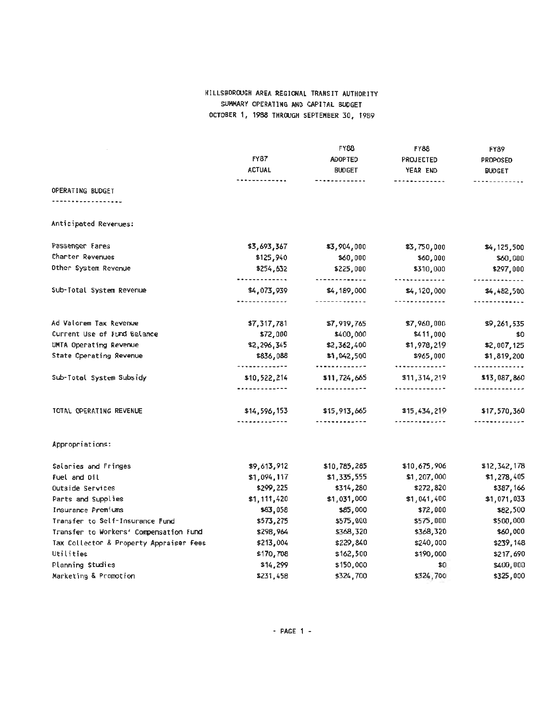#### HILLSBOROUGH AREA REGIONAL TRANSIT AUTHORITY SUMMARY OPERATING ANO CAPITAL BUDGET OCTOBER 1, 1988 THROUGH SEPTEMBER 30, 1989

|                                         |                                | <b>FY88</b>                          | <b>FY88</b>                   | <b>FY89</b>                   |
|-----------------------------------------|--------------------------------|--------------------------------------|-------------------------------|-------------------------------|
|                                         | <b>FY87</b>                    | <b>ADOPTED</b>                       | <b>PROJECTED</b>              | <b>PROPOSED</b>               |
|                                         | <b>ACTUAL</b>                  | <b>BUDGET</b>                        | YEAR END                      | <b>BUDGET</b>                 |
| OPERATING BUDGET                        | .                              | <u>.</u>                             | ------------                  |                               |
|                                         |                                |                                      |                               |                               |
|                                         |                                |                                      |                               |                               |
| Anticipated Revenues:                   |                                |                                      |                               |                               |
| Passenger Fares                         | \$3,693,367                    | \$3,904,000                          | \$3,750,000                   | \$4,125,500                   |
| Charter Revenues                        | \$125,940                      | \$60,000                             | \$60,000                      | \$60,000                      |
| Other System Revenue                    | \$254,632                      | \$225,000                            | \$310,000                     | \$297,000                     |
|                                         | .                              | -------------                        | -------------                 | ------- <b>-----</b> -        |
| Sub-Total System Revenue                | \$4,073,939                    | \$4,189,000                          | \$4,120,000                   | \$4,482,500                   |
|                                         |                                | -------------                        | -------------                 |                               |
| Ad Valorem Tax Revenue                  | \$7,317,781                    | \$7,919,765                          | \$7,960,000                   | \$9,261,535                   |
| Current Use of Fund Balance             | \$72,000                       | \$400,000                            | \$411,000                     | \$0                           |
| UMTA Operating Revenue                  | \$2,296,345                    | \$2,362,400                          | \$1,978,219                   | \$2,007,125                   |
| State Operating Revenue                 | \$836,088                      | \$1,042,500                          | \$965,000                     | \$1,819,200                   |
| Sub-Total System Subsidy                | -------------<br>\$10,522,214  | <b>---</b> ---------<br>\$11,724,665 | <br>\$11,314,219              | -------------<br>\$13,087,860 |
|                                         | <b></b>                        | -------------                        |                               | ---------- <i>--</i> -        |
| TOTAL OPERATING REVENUE                 | \$14,596,153<br>-------------- | \$15,913,665<br>-------------        | \$15,434,219<br>------------- | \$17,570,360                  |
| Appropriations:                         |                                |                                      |                               |                               |
| Salaries and Fringes                    | \$9,613,912                    | \$10,785,285                         | \$10,675,906                  | \$12,342,178                  |
| Fuel and Dil                            | \$1,094,117                    | \$1,335,555                          | \$1,207,000                   | \$1,278,405                   |
| Outside Services                        | \$299,225                      | \$314,280                            | \$272,820                     | \$387,166                     |
| Parts and Supplies                      | \$1,111,420                    | \$1,031,000                          | \$1,041,400                   | \$1,071,033                   |
| Insurance Premiums                      | \$83,058                       | \$85,000                             | \$72,000                      | \$82,500                      |
| Transfer to Self-Insurance Fund         | \$573,275                      | \$575,000                            | \$575,000                     | \$500,000                     |
| Transfer to Workers' Compensation Fund  | \$298,964                      | \$368,320                            | \$368,320                     | \$60,000                      |
| Tax Collector & Property Appraiser Fees | \$213,004                      | \$229,840                            | \$240,000                     | \$239,148                     |
| Utilities                               | \$170,708                      | \$162,500                            | \$190,000                     | \$217,690                     |
| Planning Studies                        | \$14,299                       | \$150,000                            | 04                            | \$400,000                     |
| Marketing & Promotion                   | \$231,458                      | \$324,700                            | \$324,700                     | \$325,000                     |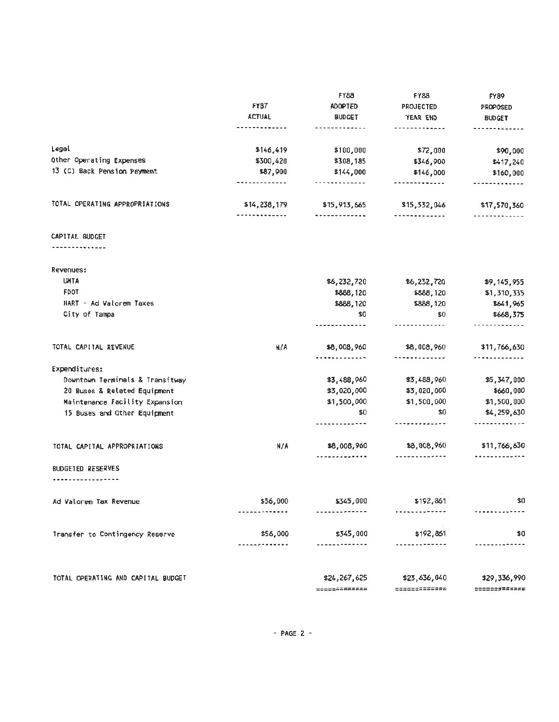|                                    | <b>FY87</b><br><b>ACTUAL</b> | <b>FY88</b><br><b>ADOPTED</b>                                  | <b>FY88</b>                         | <b>FY89</b><br><b>PROPOSED</b><br><b>BUDGET</b> |
|------------------------------------|------------------------------|----------------------------------------------------------------|-------------------------------------|-------------------------------------------------|
|                                    |                              |                                                                | <b>PROJECTED</b>                    |                                                 |
|                                    |                              | <b>BUDGET</b>                                                  | YEAR END                            |                                                 |
|                                    |                              |                                                                |                                     |                                                 |
| Legal                              | \$146,419                    | \$100,000                                                      | \$72,000                            | \$90,000                                        |
| Other Operating Expenses           | \$300,420                    | \$308,185                                                      | \$346,900                           | \$417,240                                       |
| 13 (C) Back Pension Payment        | \$87,900<br>.                | \$144,000<br>-------------                                     | \$146,000<br>------- <b>--</b> ---- | \$160,000<br>. <b>. <i>. .</i></b>              |
|                                    |                              |                                                                |                                     |                                                 |
| TOTAL OPERATING APPROPRIATIONS     | \$14,238,179<br>. <b>.</b> . | \$15,913,665<br>.                                              | \$15,532,046<br>--------------      | \$17,570,360<br>----- <b>--</b> ----            |
| CAPITAL BUDGET                     |                              |                                                                |                                     |                                                 |
|                                    |                              |                                                                |                                     |                                                 |
| Revenues:                          |                              |                                                                |                                     |                                                 |
| UMTA                               |                              | \$6,232,720                                                    | \$6,232,720                         | \$9,145,955                                     |
| <b>FDOT</b>                        |                              | \$888,120                                                      | \$888,120                           | \$1,310,335                                     |
| HART - Ad Valorem Taxes            |                              | \$888,120                                                      | \$888,120                           | \$641,965                                       |
| City of Tampa                      |                              | \$0                                                            | \$0                                 | \$668,375                                       |
|                                    |                              |                                                                | -------------                       |                                                 |
| TOTAL CAPITAL REVENUE              | N/A                          | \$8,008,960                                                    | \$8,008,960<br>-------------        | \$11,766,630                                    |
| Expenditures:                      |                              |                                                                |                                     |                                                 |
| Downtown Terminals & Transitway    |                              | \$3,488,960                                                    | \$3,488,960                         | \$5,347,000                                     |
| 20 Buses & Related Equipment       |                              | \$3,020,000                                                    | \$3,020,000                         | \$660,000                                       |
| Maintenance Facility Expansion     |                              | \$1,500,000                                                    | \$1,500,000                         | \$1,500,000                                     |
| 15 Buses and Other Equipment       |                              | \$0                                                            | \$0                                 | \$4,259,630                                     |
|                                    |                              | <u>-------------</u>                                           | ------ <i>------</i> -              |                                                 |
| TOTAL CAPITAL APPROPRIATIONS       | N/A                          | \$8,008,960<br>-- <i>------</i> -----                          | \$8,008,960<br>-------------        | \$11,766,630                                    |
| <b>BUDGETED RESERVES</b>           |                              |                                                                |                                     |                                                 |
|                                    |                              |                                                                |                                     |                                                 |
| Ad Valorem Tax Revenue             | \$56,000                     | \$345,000                                                      | \$192,861                           | \$0                                             |
|                                    |                              | -------------                                                  |                                     |                                                 |
| Transfer to Contingency Reserve    | \$56,000                     | \$345,000                                                      | \$192,861                           | \$0                                             |
|                                    | -------------                | -------------                                                  |                                     |                                                 |
| TOTAL OPERATING AND CAPITAL BUDGET |                              | \$24,267,625                                                   | \$23,636,040                        | \$29,336,990                                    |
|                                    |                              | $\texttt{---}\texttt{---}\texttt{---}\texttt{---}\texttt{---}$ | =============                       | =============                                   |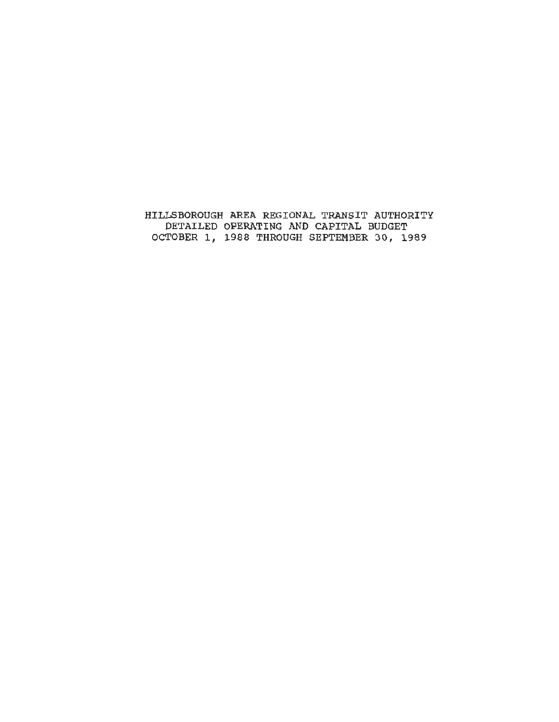HILLSBOROUGH AREA REGIONAL TRANSIT AUTHORITY DETAILED OPERATING AND CAPITAL BUDGET OCTOBER 1, 1988 THROUGH SEPTEMBER 30, 1989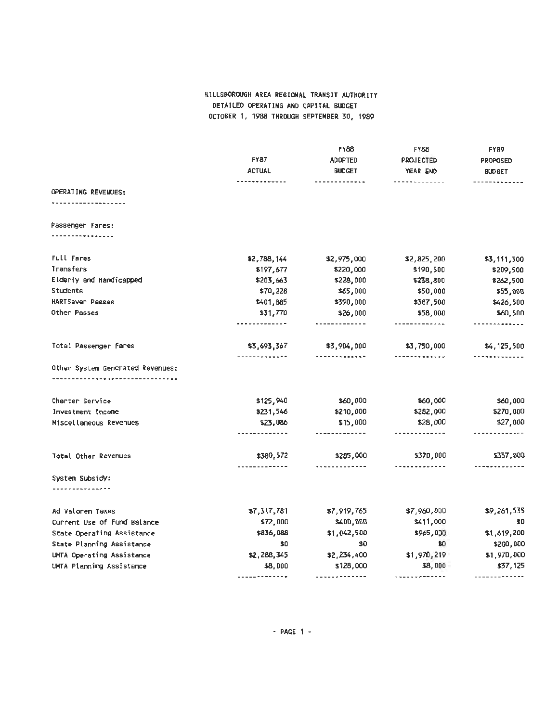#### HILLSBORClJGH AREA REGIONAL TRANSIT AUTHORITY DETAILED OPERATING AND CAPITAL BUDGET OCTOBER 1, 1988 THROUGH SEPTEMBER 30, 1989

|                                               | <b>FY87</b>             | <b>FY88</b>                                      | <b>FY88</b><br><b>PROJECTED</b><br>YEAR END | <b>FY89</b><br><b>PROPOSED</b><br><b>BUDGET</b> |
|-----------------------------------------------|-------------------------|--------------------------------------------------|---------------------------------------------|-------------------------------------------------|
|                                               |                         | <b>ADOPTED</b><br><b>ACTUAL</b><br><b>BUDGET</b> |                                             |                                                 |
|                                               |                         |                                                  |                                             |                                                 |
| OPERATING REVENUES:                           | ------------            | -----------                                      | ------------                                |                                                 |
| . <b>.</b>                                    |                         |                                                  |                                             |                                                 |
|                                               |                         |                                                  |                                             |                                                 |
| Passenger Fares:<br>----------- <i>----</i> - |                         |                                                  |                                             |                                                 |
|                                               |                         |                                                  |                                             |                                                 |
| <b>Full Fares</b>                             | \$2,788,144             | \$2,975,000                                      | \$2,825,200                                 | \$3,111,500                                     |
| Transfers                                     | \$197,677               | \$220,000                                        | \$190,500                                   | \$209,500                                       |
| Elderly and Handicapped                       | \$203,663               | \$228,000                                        | \$238,800                                   | \$262,500                                       |
| Students                                      | \$70,228                | \$65,000                                         | \$50,000                                    | \$55,000                                        |
| <b>HARTSaver Passes</b>                       | \$401,885               | \$390,000                                        | \$387,500                                   | \$426,500                                       |
| Other Passes                                  | \$31,770<br>.           | \$26,000<br>                                     | \$58,000<br>-------------                   | \$60,500<br>--------- <i>-</i>                  |
| Total Passenger Fares                         | \$3,693,367             | \$3,904,000                                      | \$3,750,000                                 | \$4,125,500                                     |
|                                               | -------------           | -------------                                    | -------------                               |                                                 |
| Other System Generated Revenues:              |                         |                                                  |                                             |                                                 |
|                                               |                         |                                                  |                                             |                                                 |
| Charter Service                               | \$125,940               | \$60,000                                         | \$60,000                                    | \$60,000                                        |
| Investment Income                             | \$231,546               | \$210,000                                        | \$282,000                                   | \$270,000                                       |
| Miscellaneous Revenues                        | \$23,086                | \$15,000                                         | \$28,000                                    | \$27,000                                        |
|                                               | ----------              | -------------                                    | -------------                               | -------------                                   |
| Total Other Revenues                          | \$380,572<br>---------- | \$285,000<br>.                                   | \$370,000<br>-- <b>-----</b> ------         | \$357,000                                       |
| System Subsidy:                               |                         |                                                  |                                             |                                                 |
| ------------ <i>-</i>                         |                         |                                                  |                                             |                                                 |
| Ad Valorem Taxes                              | \$7,317,781             | \$7,919,765                                      | \$7,960,000                                 | \$9,261,535                                     |
| Current Use of Fund Balance                   | \$72,000                | \$400,000                                        | \$411,000                                   | \$0                                             |
| State Operating Assistance                    | \$836,088               | \$1,042,500                                      | \$965,000                                   | \$1,619,200                                     |
| State Planning Assistance                     | \$0                     | \$0                                              | 60                                          | \$200,000                                       |
| UMTA Operating Assistance                     | \$2,288,345             | \$2,234,400                                      | \$1,970,219                                 | \$1,970,000                                     |
| UMTA Planning Assistance                      | \$8,000                 | \$128,000                                        | \$8,000                                     | \$37,125                                        |
|                                               | -------------           | -------------                                    | -------------                               | -------------                                   |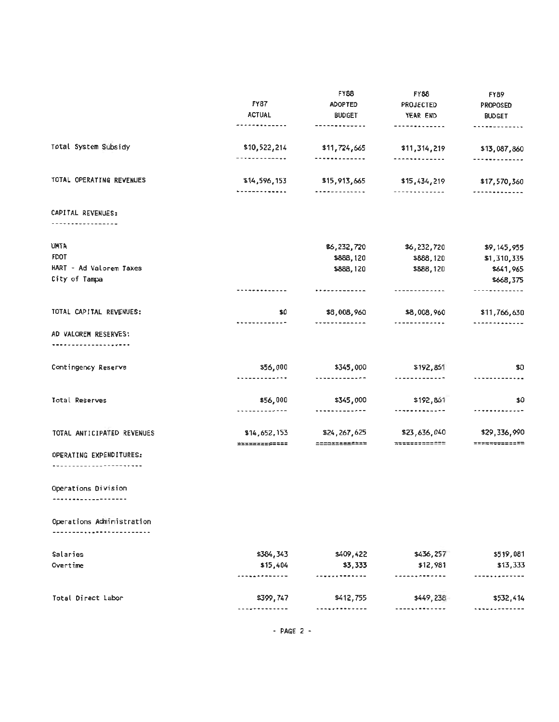|                                                            | <b>FY87</b>                         | <b>FY88</b><br>ADOPTED         | FY88<br>PROJECTED                      | <b>FY89</b><br><b>PROPOSED</b>         |
|------------------------------------------------------------|-------------------------------------|--------------------------------|----------------------------------------|----------------------------------------|
|                                                            |                                     |                                |                                        |                                        |
|                                                            | <b>ACTUAL</b><br>-------------      | <b>BUDGET</b><br>------------- | YEAR END<br>-------------              | <b>BUDGET</b><br>------------ <b>-</b> |
| Total System Subsidy                                       | \$10,522,214<br>-------------       | \$11,724,665<br>-------------  | \$11,314,219<br>----- <b>--</b> ------ | \$13,087,860<br>-------------          |
| TOTAL OPERATING REVENUES                                   | \$14,596,153<br>.                   | \$15,913,665<br>.              | \$15,434,219<br>-------------          | \$17,570,360<br>------ <b>--</b> ---   |
| CAPITAL REVENUES:<br>---------------                       |                                     |                                |                                        |                                        |
| <b>UMTA</b>                                                |                                     | \$6,232,720                    | \$6,232,720                            | \$9,145,955                            |
| <b>FDOT</b>                                                |                                     | \$888,120                      | \$888,120                              | \$1,310,335                            |
| HART - Ad Valorem Taxes<br>City of Tampa                   |                                     | \$888,120                      | \$888,120                              | \$641,965<br>\$668,375                 |
|                                                            | -------------                       |                                | ----------- <b>--</b>                  |                                        |
| TOTAL CAPITAL REVENUES:                                    | \$0<br><b>.</b>                     | \$8,008,960<br>-------------   | \$8,008,960<br><i></i>                 | \$11,766,630<br>----------             |
| AD VALOREM RESERVES:<br>--------------- <b>--</b>          |                                     |                                |                                        |                                        |
| Contingency Reserve                                        | \$56,000<br>-------------           | \$345,000<br><u></u>           | \$192,851<br>--------------            | \$0                                    |
| Total Reserves                                             | \$56,000<br>                        | \$345,000<br>-------------     | \$192,851<br>-------------             | \$0                                    |
| TOTAL ANTICIPATED REVENUES                                 | \$14,652,153<br><b>************</b> | \$24,267,625                   | \$23,636,040<br><b>BREEZESSEEDED</b>   | \$29,336,990<br>==============         |
| OPERATING EXPENDITURES:<br>------------------- <b>--</b> - |                                     |                                |                                        |                                        |
| Operations Division                                        |                                     |                                |                                        |                                        |
| Operations Admirmistration                                 |                                     |                                |                                        |                                        |
| Salaries                                                   | \$384,343                           | \$409,422                      | \$436,257                              | \$519,081                              |
| Overtime                                                   | \$15,404                            | \$3,333                        | \$12,981<br>-------------              | \$13,333                               |
| Total Direct Labor                                         | \$399,747                           | \$412,755                      | \$449,238                              | \$532,414                              |
|                                                            | -------------                       | --------- <i>----</i>          |                                        |                                        |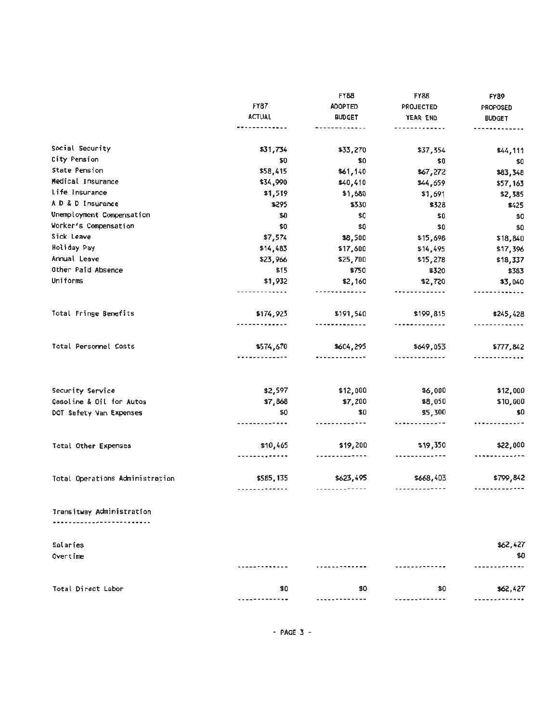|                                 |                        | <b>FY88</b>    | <b>FY88</b>      | <b>FY89</b>   |
|---------------------------------|------------------------|----------------|------------------|---------------|
|                                 | <b>FY87</b>            | <b>ADOPTED</b> | <b>PROJECTED</b> | PROPOSED      |
|                                 | <b>ACTUAL</b>          | <b>BUDGET</b>  | YEAR END         | <b>BUDGET</b> |
|                                 |                        | -------------  | . <b>.</b>       |               |
| Social Security                 | \$31,734               | \$33,270       | \$37,354         | \$44,111      |
| City Pension                    | \$0                    | \$0            | \$0              | \$0           |
| State Pension                   | \$58,415               | \$61,140       | \$67,272         | \$83,348      |
| Medical Insurance               | \$34,990               | \$40,410       | \$44,659         | \$57,163      |
| Life Insurance                  | \$1,519                | \$1,680        | \$1,691          | \$2,385       |
| A D & D Insurance               | \$295                  | \$330          | \$328            | \$425         |
| Unemployment Compensation       | \$0                    | \$0            | \$0              | \$0           |
| Worker's Compensation           | \$0                    | \$0            | \$0              | \$0           |
| Sick Leave                      | \$7,574                | \$8,500        | \$15,698         | \$18,840      |
| Holiday Pay                     | \$14,483               | \$17,600       | \$14,495         | \$17,396      |
| Annual Leave                    | \$23,966               | \$25,700       | \$15,278         | \$18,337      |
| Other Paid Absence              | \$15                   | \$750          | \$320            | \$383         |
| Uniforms                        | \$1,932                | \$2,160        | \$2,720          | \$3,040       |
|                                 | -------- <b>---</b>    | -------------  | . <i>.</i>       | ------------- |
| Total Fringe Benefits           | \$174,923              | \$191,540      | \$199,815        | \$245,428     |
|                                 |                        |                |                  |               |
| Total Personnel Costs           | \$574,670              | \$604,295      | \$649,053        | \$777,842     |
|                                 | . <i>.</i>             |                |                  |               |
| Security Service                | \$2,597                | \$12,000       | \$6,000          | \$12,000      |
| Gasoline & Oil for Autos        | \$7,868                | \$7,200        | \$8,050          | \$10,000      |
| DOT Safety Van Expenses         | \$0                    | \$0            | \$5,300          | \$0           |
|                                 |                        | -------------  | . <i>.</i>       |               |
| Total Other Expenses            | \$10,465               | \$19,200       | \$19,350         | \$22,000      |
|                                 | . . <i>.</i>           |                | . <b>.</b> .     |               |
| Total Operations Administration | \$585,135              | \$623,495      | \$668,403        | \$799,842     |
| Transitway Administration       | --------- <b>---</b> - |                |                  |               |
|                                 |                        |                |                  |               |
| Salaries                        |                        |                |                  | \$62,427      |
| Overtime                        |                        |                |                  | \$0           |
|                                 |                        |                |                  |               |
| Total Direct Labor              | \$0                    | \$0            | 60               | \$62,427      |
|                                 |                        |                |                  |               |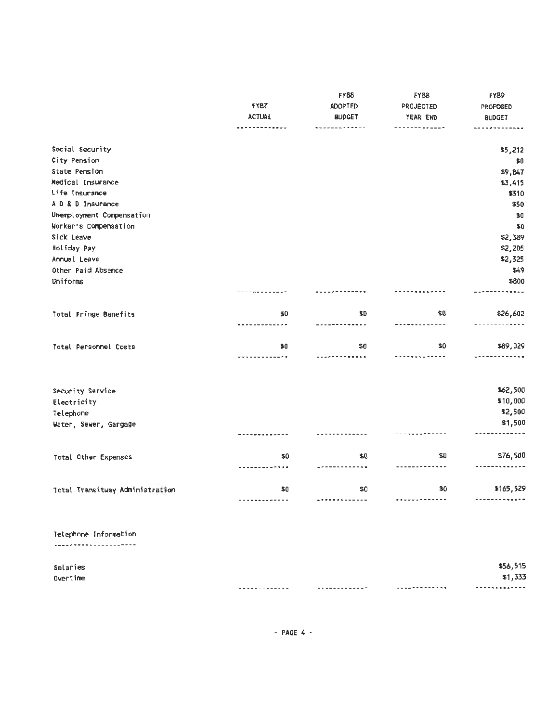|                                 |                        | <b>FY88</b>             | <b>FY88</b>             | <b>FY89</b>       |
|---------------------------------|------------------------|-------------------------|-------------------------|-------------------|
|                                 | <b>FY87</b>            | ADOPTED                 | PROJECTED               | PROPOSED          |
|                                 | <b>ACTUAL</b>          | <b>BUDGET</b>           | YEAR END                | <b>BUDGET</b>     |
|                                 | ----------             | . . <i>. <b>.</b></i> . | -------- <b>----</b> -  | <b>**********</b> |
| Social Security                 |                        |                         |                         | \$5,212           |
| City Pension                    |                        |                         |                         | \$0               |
| State Pension                   |                        |                         |                         | \$9,847           |
| Medical Insurance               |                        |                         |                         | \$3,415           |
| Life Insurance                  |                        |                         |                         | \$310             |
| A D & D Insurance               |                        |                         |                         | \$50              |
| Unemployment Compensation       |                        |                         |                         | \$0               |
| Worker's Compensation           |                        |                         |                         | \$0               |
| Sick Leave                      |                        |                         |                         | \$2,389           |
| Holiday Pay                     |                        |                         |                         | \$2,205           |
| Annual Leave                    |                        |                         |                         | \$2,325           |
| Other Paid Absence              |                        |                         |                         | 849               |
| Uniforms                        |                        |                         |                         | \$800             |
|                                 | ------ <i>------</i> - | <u>.</u>                | -------------           | -------------     |
| Total Fringe Benefits           | \$0                    | \$D                     | \$0                     | \$26,602          |
|                                 | <br>---                | -------------           | -------------           |                   |
| Total Personnel Costs           | \$0                    | \$0                     | \$0                     | \$89,029          |
|                                 | <u>-----------</u>     | <b></b>                 | <u></u>                 |                   |
|                                 |                        |                         |                         |                   |
| Security Service                |                        |                         |                         | \$62,500          |
| Electricity                     |                        |                         |                         | \$10,000          |
| Telephone                       |                        |                         |                         | \$2,500           |
| Water, Sewer, Gargage           |                        |                         |                         | \$1,500           |
|                                 | ----------             |                         | -------                 | ---------         |
| Total Other Expenses            | \$0                    | \$0                     | \$0                     | \$76,500          |
|                                 | ---------- <b>--</b> - | -------------           | ---------- <i>--</i> -- |                   |
| Total Transitway Administration | \$0                    | \$0                     | \$0                     | \$165,529         |
|                                 | -------------          | <b></b>                 | .                       |                   |
|                                 |                        |                         |                         |                   |
| Telephone Information           |                        |                         |                         |                   |
|                                 |                        |                         |                         |                   |

|          | ------------- | -------------- | ------------- | ------------- |
|----------|---------------|----------------|---------------|---------------|
| Overtime |               |                |               | \$1,333       |
| Salaries |               |                |               | \$56,515      |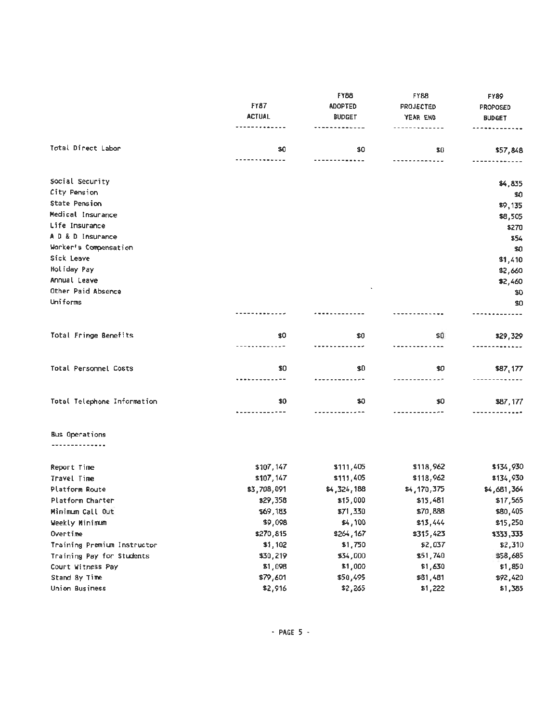|                             | <b>FY87</b>   | <b>FY88</b>                     |                       | FY88                             | <b>FY89</b> |
|-----------------------------|---------------|---------------------------------|-----------------------|----------------------------------|-------------|
|                             |               | <b>ADOPTED</b><br><b>BUDGET</b> | PROJECTED<br>YEAR END | <b>PROPOSED</b><br><b>BUDGET</b> |             |
|                             | <b>ACTUAL</b> |                                 |                       |                                  |             |
|                             |               |                                 |                       |                                  |             |
| Total Direct Labor          | \$0           | \$0                             | \$0                   | \$57,848                         |             |
|                             |               |                                 |                       |                                  |             |
| Social Security             |               |                                 |                       | \$4,835                          |             |
| City Pension                |               |                                 |                       | \$0                              |             |
| State Pension               |               |                                 |                       | \$9,135                          |             |
| Medical Insurance           |               |                                 |                       | \$8,505                          |             |
| Life Insurance              |               |                                 |                       | \$270                            |             |
| A D & D Insurance           |               |                                 |                       | \$54                             |             |
| Worker's Compensation       |               |                                 |                       | \$0                              |             |
| Sick Leave<br>Holiday Pay   |               |                                 |                       | \$1,410                          |             |
| Annual Leave                |               |                                 |                       | \$2,660<br>\$2,460               |             |
| Other Paid Absence          |               |                                 |                       | \$0                              |             |
| Uniforms                    |               |                                 |                       | \$0                              |             |
|                             |               |                                 |                       |                                  |             |
|                             |               |                                 |                       |                                  |             |
| Total Fringe Benefits       | \$0           | \$0                             | 40                    | \$29,329                         |             |
|                             |               |                                 |                       |                                  |             |
| Total Personnel Costs       | \$0           | \$0                             | \$0                   | \$87,177                         |             |
|                             |               |                                 |                       |                                  |             |
| Total Telephone Information | \$0           | \$0                             | \$0                   | \$87,177                         |             |
|                             |               |                                 |                       |                                  |             |
| Bus Operations              |               |                                 |                       |                                  |             |
|                             |               |                                 |                       |                                  |             |
| Report Time                 | \$107,147     | \$111,405                       | \$118,962             | \$134,930                        |             |
| Travel Time                 | \$107,147     | \$111,405                       | \$118,962             | \$134,930                        |             |
| Platform Route              | \$3,708,091   | \$4,324,188                     | \$4,170,375           | \$4,681,364                      |             |
| Platform Charter            | \$29,358      | \$15,000                        | \$15,481              | \$17,565                         |             |
| Minimum Call Out            | \$69,183      | \$71,330                        | \$70,888              | \$80,405                         |             |
| Weekly Minimum              | \$9,098       | \$4,100                         | \$13,444              | \$15,250                         |             |
| Overtime                    | \$270,815     | \$264,167                       | \$315,423             | \$333,333                        |             |
| Training Premium Instructor | \$1,102       | \$1,750                         | \$2,037               | \$2,310                          |             |
| Training Pay for Students   | \$30,219      | \$34,000                        | \$51,740              | \$58,685                         |             |
| Court Witness Pay           | \$1,098       | \$1,000                         | \$1,630               | \$1,850                          |             |
| Stand 8y Time               | \$79,601      | \$50,495                        | \$81,481              | \$92,420                         |             |
| Union Business              | \$2,916       | \$2,265                         | \$1,222               | \$1,385                          |             |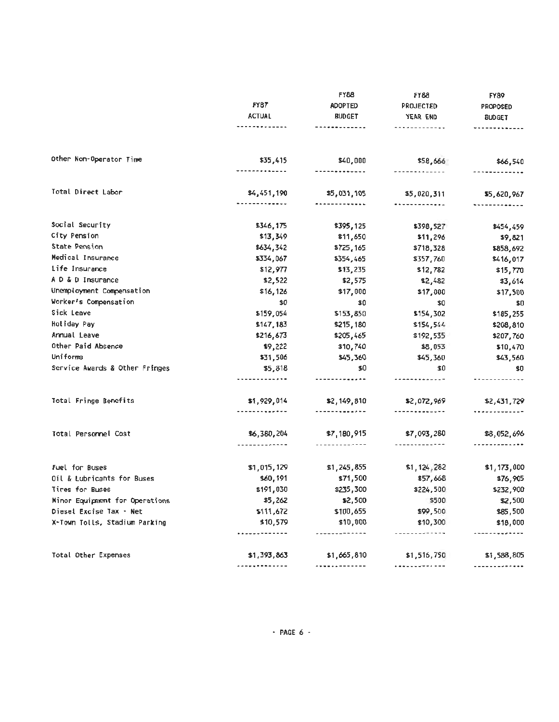|                                | <b>FY87</b>                        | <b>FY88</b>                        |                              | <b>FY88</b>     | <b>FY89</b> |
|--------------------------------|------------------------------------|------------------------------------|------------------------------|-----------------|-------------|
|                                |                                    | <b>ADOPTED</b>                     | PROJECTED                    | <b>PROPOSED</b> |             |
|                                | <b>ACTUAL</b>                      | <b>BUDGET</b>                      | YEAR END                     | <b>BUDGET</b>   |             |
|                                | -----------                        |                                    |                              |                 |             |
| Other Non-Operator Time        | \$35,415<br>----- <i>--</i> ------ | \$40,000<br>----- <b>---</b> ----- | \$58,666                     | \$66,540        |             |
| Total Direct Labor             | \$4,451,190                        | \$5,031,105<br>. <b>.</b>          | \$5,020,311<br>------------- | \$5,620,967     |             |
| Social Security                | \$346,175                          | \$395,125                          | \$398,527                    | \$454,459       |             |
| City Pension                   | \$13,349                           | \$11,650                           | \$11,296                     | \$9,821         |             |
| State Pension                  | \$634,342                          | \$725,165                          | \$718,328                    | \$858,692       |             |
| Medical Insurance              | \$334,067                          | \$354,465                          | \$357,760                    | \$416,017       |             |
| Life Insurance                 | \$12,977                           | \$13,235                           | \$12,782                     | \$15,770        |             |
| A D & D Insurance              | \$2,522                            | \$2,575                            | \$2,482                      | \$3,614         |             |
| Unemployment Compensation      | \$16,126                           | \$17,000                           | \$17,000                     | \$17,500        |             |
| Worker's Compensation          | \$0                                | \$0                                | \$0                          | \$0             |             |
| Sick Leave                     | \$159,054                          | \$153,850                          | \$154,302                    | \$185,255       |             |
| Holiday Pay                    | \$147,183                          | \$215,180                          | \$154,544                    | \$208,810       |             |
| Annual Leave                   | \$216,673                          | \$205,465                          | \$192,535                    | \$207,760       |             |
| Other Paid Absence             | \$9,222                            | \$10,740                           | \$8,053                      | \$10,470        |             |
| Uniforms                       | \$31,506                           | \$45,360                           | \$45,360                     | \$43,560        |             |
| Service Awards & Other Fringes | \$5,818                            | \$0.                               | \$0                          | \$0             |             |
|                                | ----------                         |                                    |                              |                 |             |
| Total Fringe Benefits          | \$1,929,014                        | \$2,149,810                        | \$2,072,969                  | \$2,431,729     |             |
| Total Personnel Cost           | \$6,380,204<br>------------        | \$7,180,915                        | \$7,093,280                  | \$8,052,696     |             |
|                                |                                    |                                    |                              |                 |             |
| Fuel for Buses                 | \$1,015,129                        | \$1,245,855                        | \$1,124,282<br>\$57,668      | \$1,173,000     |             |
| Oil & Lubricants for Buses     | \$60,191                           | \$71,500                           |                              | \$76,905        |             |
| Tires for Buses                | \$191,030                          | \$235,300                          | \$224,510                    | \$232,900       |             |
| Minor Equipment for Operations | \$5,262                            | \$2,500                            | \$500                        | \$2,500         |             |
| Diesel Excise Tax - Net        | \$111,672                          | \$100,655                          | \$99,500                     | \$85,500        |             |
| X-Town Tolls, Stadium Parking  | \$10,579<br>------------           | \$10,000<br>-------------          | \$10,300<br>-------------    | \$18,000        |             |
| Total Other Expenses           | \$1,393,863                        | \$1,665,810                        | \$1,516,730                  | \$1,588,805     |             |
|                                |                                    | -------------                      | . <i>.</i>                   | -----------     |             |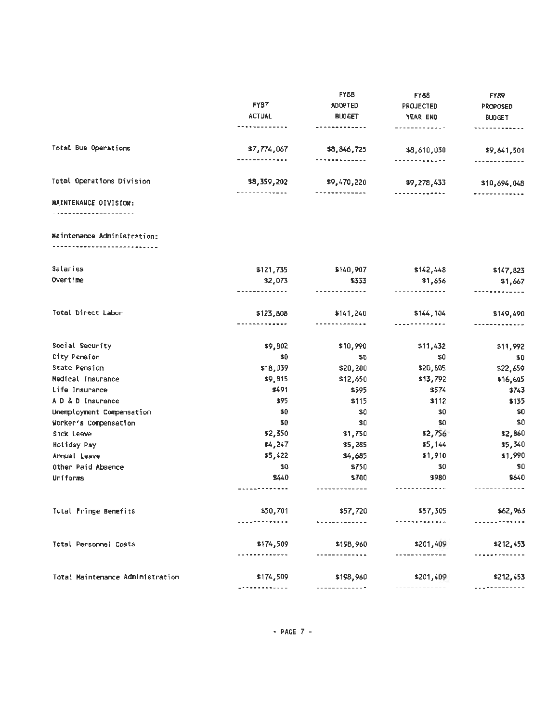|                                  | <b>FY87</b><br><b>ACTUAL</b> | <b>FY88</b>                        | <b>FY88</b><br>PROJECTED             | <b>FY89</b><br><b>PROPOSED</b> |
|----------------------------------|------------------------------|------------------------------------|--------------------------------------|--------------------------------|
|                                  |                              | <b>ADOPTED</b><br><b>BUDGET</b>    |                                      |                                |
|                                  |                              |                                    | YEAR END                             | <b>BUDGET</b>                  |
|                                  | <b></b>                      |                                    | ------- <b>--</b> ---                |                                |
| Total Bus Operations             | \$7,774,067<br>------------  | \$8,846,725<br>.                   | \$8,610,030<br>------------          | \$9,641,501                    |
|                                  |                              |                                    |                                      |                                |
| Total Operations Division        | \$8,359,202<br>----------    | \$9,470,220<br>                    | \$9,278,433<br>------ <b>----</b> -- | \$10,694,048                   |
| MAINTENANCE DIVISION:            |                              |                                    |                                      |                                |
| ---------------                  |                              |                                    |                                      |                                |
| Maintenance Administration:      |                              |                                    |                                      |                                |
| <i></i>                          |                              |                                    |                                      |                                |
| Salaries                         | \$121,735                    | \$140,907                          | \$142,448                            | \$147,823                      |
| Overtime                         | \$2,073<br>-------------     | \$333<br>. <b>.</b> .              | \$1,656<br>-------------             | \$1,667                        |
|                                  |                              |                                    |                                      |                                |
| Total Direct Labor               | \$123,808<br>----------      | \$141,240<br>. <i>. . <b>.</b></i> | \$144,104<br>----------              | \$149,490                      |
| Social Security                  | \$9,802                      | \$10,990                           | \$11,432                             | \$11,992                       |
| City Pension                     | \$0                          | \$0                                | \$0                                  | \$0                            |
| State Pension                    | \$18,039                     | \$20,200                           | \$20,605                             | \$22,659                       |
| Medical Insurance                | \$9,815                      | \$12,650                           | \$13,792                             | \$16,605                       |
| Life Insurance                   | \$491                        | \$595                              | \$574                                | \$743                          |
| A D & D Insurance                | \$95                         | \$115                              | \$112                                | \$135                          |
| Unemployment Compensation        | \$0                          | \$0                                | \$0                                  | \$0                            |
| Worker's Compensation            | \$0                          | \$0                                | \$0                                  | \$0                            |
| Sick Leave                       | \$2,350                      | \$1,750                            | \$2,756                              | \$2,860                        |
| Holiday Pay                      | \$4,247                      | \$5,285                            | \$5,144                              | \$5,340                        |
| Annual Leave                     | \$5,422                      | \$4,685                            | \$1,910                              | \$1,990                        |
| Other Paid Absence               | \$0                          | \$750                              | \$0                                  | \$0                            |
| Uniforms                         | \$440                        | \$700                              | \$980                                | \$640                          |
|                                  | -------------                | ---------- <i>-</i> --             | --------- <i>-</i> --- <i>-</i>      |                                |
| Total Fringe Benefits            | \$50,701                     | \$57,720<br>                       | \$57,305<br><b>------------</b> -    | \$62,963                       |
| Total Personnel Costs            | \$174,509                    | \$198,960<br>-------------         | \$201,409                            | \$212,453                      |
| Total Maintenance Administration | \$174,509                    | \$198,960                          | \$201,409                            | \$212,453                      |
|                                  | -------------                | -------------                      | <u>-------------</u>                 | <b></b>                        |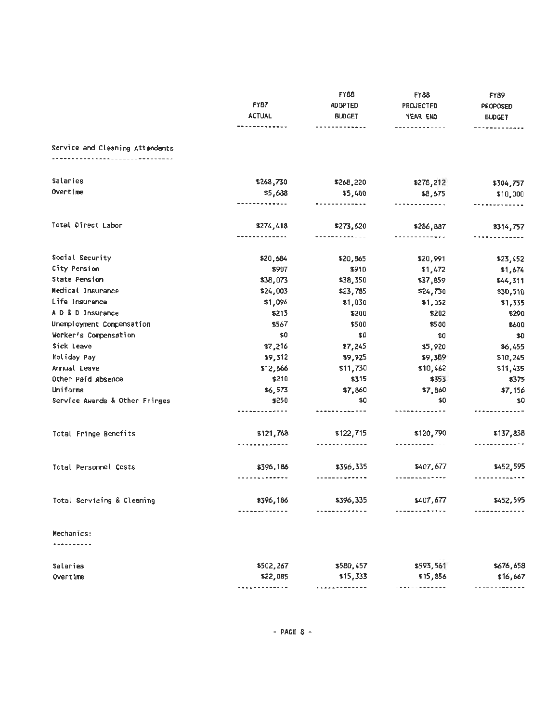|                                 |                        | <b>FY88</b>               | <b>FY88</b>                  | <b>FY89</b>                       |
|---------------------------------|------------------------|---------------------------|------------------------------|-----------------------------------|
|                                 | <b>FY87</b>            | ADOPTED<br><b>BUDGET</b>  | <b>PROJECTED</b><br>YEAR END | <b>PROPOSED</b><br><b>BUDGET</b>  |
|                                 | <b>ACTUAL</b>          |                           |                              |                                   |
|                                 | <b></b>                | -------------             | -------------                | -------------                     |
| Service and Cleaning Attendants |                        |                           |                              |                                   |
|                                 |                        |                           |                              |                                   |
| Salaries                        |                        |                           |                              |                                   |
|                                 | \$268,730              | \$268,220                 | \$278,212                    | \$304,757                         |
| Overtime                        | \$5,688<br>----------- | \$5,400<br>. <b>. .</b> . | \$8,675<br>-------------     | \$10,000<br>------------ <b>-</b> |
|                                 |                        |                           |                              |                                   |
| Total Direct Labor              | \$274,418              | \$273,620                 | \$286,887                    | \$314,757                         |
|                                 | . <b>.</b> .           | -------------             | . <b>. .</b>                 | -------------                     |
| Social Security                 | \$20,684               | \$20,865                  | \$20,991                     | \$23,452                          |
| City Pension                    | \$907                  | \$910                     | \$1,472                      | \$1,674                           |
| State Pension                   | \$38,073               | \$38,350                  | \$37,859                     | \$44,311                          |
| Medical Insurance               | \$24,003               | \$23,785                  | \$24,730                     | \$30,510                          |
| Life Insurance                  | \$1,094                | \$1,030                   | \$1,052                      | \$1,335                           |
| A D & D Insurance               | \$213                  | \$200                     | \$202                        | \$290                             |
| Unemployment Compensation       | \$567                  | \$500                     | \$500                        | \$600                             |
| Worker's Compensation           | \$0                    | $\sqrt{2}$                | \$0                          | \$0                               |
| Sick Leave                      | \$7,216                | \$7,245                   | \$5,920                      | \$6,455                           |
| <b>Holiday Pay</b>              | \$9,312                | \$9,925                   | \$9,389                      | \$10,245                          |
| Annual Leave                    | \$12,666               | \$11,730                  | \$10,462                     | \$11,435                          |
| Other Paid Absence              | \$210                  | \$315                     | \$353                        | \$375                             |
| Uniforms                        | \$6,573                | \$7,860                   | \$7,860                      | \$7,156                           |
| Service Awards & Other Fringes  | \$250                  | \$0                       | \$0                          | \$0                               |
|                                 | .                      | -------------             |                              |                                   |
| Total Fringe Benefits           | \$121,768              | \$122,715                 | \$120,790                    | \$137,838                         |
|                                 | --------------         | -------------             | -------------                |                                   |
| Total Personnel Costs           | \$396,186              | \$396,335                 | \$407,677                    | \$452,595                         |
|                                 | -------------          | --------- <i>---</i> -    | -------------                |                                   |
|                                 |                        |                           |                              |                                   |
| Total Servicing & Cleaning      | \$396,186              | \$396,335                 | \$407,677                    | \$452,595                         |
|                                 |                        |                           |                              |                                   |
| Mechanics:                      |                        |                           |                              |                                   |
|                                 |                        |                           |                              |                                   |
| Salaries                        | \$502,267              | \$580,457                 | \$593,551                    | \$676,658                         |
| Overtime                        | \$22,085               | \$15,333                  | \$15,856                     | \$16,667                          |
|                                 | -------------          | . . <i>.</i> .            | . <b>.</b>                   | . . <i>. .</i>                    |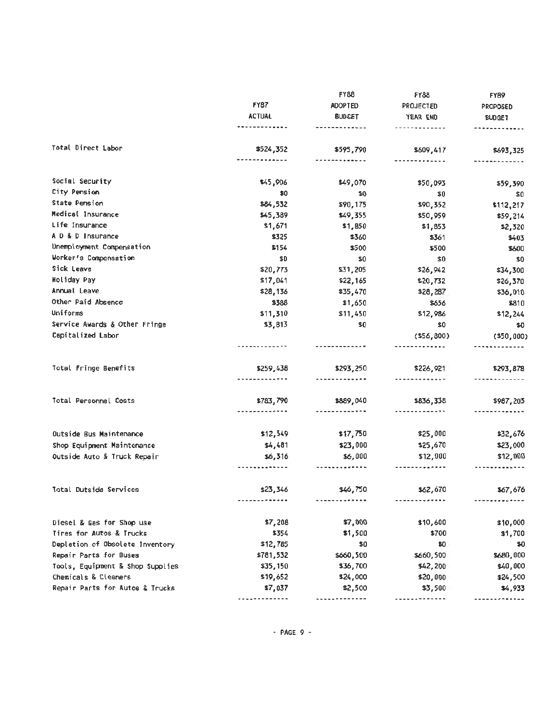|                                  | <b>FY87</b><br><b>ACTUAL</b> | <b>FY88</b><br><b>ADOPTED</b><br><b>BUDGET</b> | <b>FY88</b>             | <b>FY89</b><br>PROPOSED<br><b>BUDGET</b> |
|----------------------------------|------------------------------|------------------------------------------------|-------------------------|------------------------------------------|
|                                  |                              |                                                | PROJECTED               |                                          |
|                                  |                              |                                                | YEAR END                |                                          |
|                                  |                              |                                                |                         |                                          |
| Total Direct Labor               | \$524,352                    | \$595,790                                      | \$609,417<br>. <b>.</b> | \$693,325                                |
|                                  |                              |                                                |                         |                                          |
| Social Security                  | \$45,906                     | \$49,070                                       | \$50,093                | \$59,390                                 |
| City Pension                     | \$0                          | \$0                                            | \$0                     | \$0                                      |
| State Pension                    | \$84,532                     | \$90,175                                       | \$90,352                | \$112,217                                |
| Medical Insurance                | \$45,389                     | \$49,355                                       | \$50,959                | \$59,214                                 |
| Life Insurance                   | \$1,671                      | \$1,850                                        | \$1,853                 | \$2,320                                  |
| A D & D Insurance                | \$325                        | \$360                                          | \$361                   | \$403                                    |
| Unemployment Compensation        | \$154                        | \$500                                          | \$500                   | \$600                                    |
| Worker's Compensation            | \$D                          | \$0.                                           | \$0                     | \$0                                      |
| Sick Leave                       | \$20,773                     | \$31,205                                       | \$26,942                | \$34,300                                 |
| Holiday Pay                      | \$17,041                     | \$22,165                                       | \$20,732                | \$26,370                                 |
| Annual Leave                     | \$28,136                     | \$35,470                                       | \$28,287                | \$36,010                                 |
| Other Paid Absence               | \$388                        | \$1,650                                        | \$656                   | \$810                                    |
| Uniforms                         | \$11,310                     | \$11,450                                       | \$12,986                | \$12,244                                 |
| Service Awards & Other Fringe    | \$3,813                      | \$0                                            | \$0                     | \$0                                      |
| Capitalized Labor                |                              |                                                | $($ \$56,800)           | $($ \$50,000 $)$                         |
|                                  |                              |                                                | ----------              |                                          |
| Total Fringe Benefits            | \$259,438                    | \$293,250                                      | \$226,921               | \$293,878                                |
|                                  |                              |                                                |                         |                                          |
| Total Personnel Costs            | \$783,790                    | \$889,040                                      | \$836,338               | \$987,203                                |
|                                  |                              |                                                |                         |                                          |
| Outside Bus Maintenance          | \$12,549                     | \$17,750                                       | \$25,000                | \$32,676                                 |
| Shop Equipment Maintenance       | \$4,481                      | \$23,000                                       | \$25,670                | \$23,000                                 |
| Outside Auto & Truck Repair      | \$6,316                      | \$6,000                                        | \$12,000                | \$12,000                                 |
|                                  |                              |                                                | -------------           |                                          |
| Total Dutside Services           | \$23,346                     | \$46,750                                       | \$62,670                | \$67,676                                 |
|                                  |                              |                                                |                         |                                          |
| Diesel & Gas for Shop use        | \$7,208                      | \$7,000                                        | \$10,600                | \$10,000                                 |
| Tires for Autos & Trucks         | \$354                        | \$1,500                                        | \$700                   | \$1,700                                  |
| Depletion of Obsolete Inventory  | \$12,785                     | \$0                                            | 63                      | \$0                                      |
| Repair Parts for Buses           | \$781,532                    | \$660,500                                      | \$660,510               | \$680,000                                |
| Tools, Equipment & Shop Supplies | \$35,150                     | \$36,700                                       | \$42,200                | \$40,000                                 |
| Chemicals & Cleaners             | \$19,652                     | \$24,000                                       | \$20,010                | \$24,500                                 |
| Repair Parts for Autos & Trucks  | \$7,037                      | \$2,500                                        | \$3,510                 | \$4,933                                  |
|                                  |                              |                                                |                         |                                          |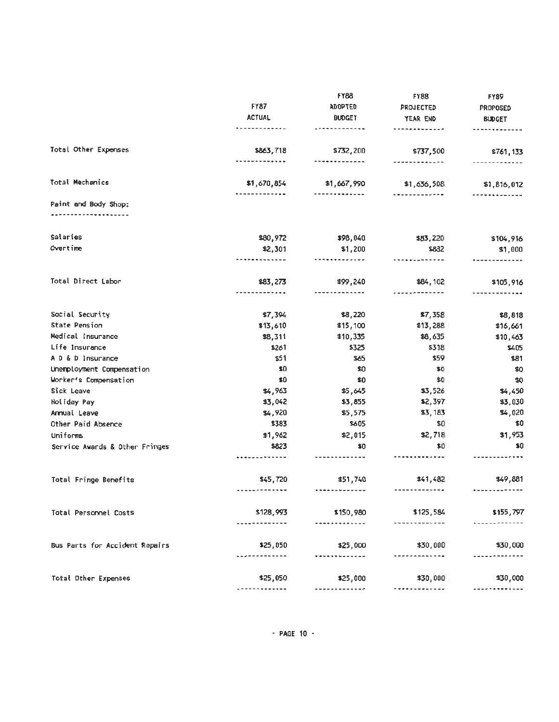|                                | <b>FY87</b>       | <b>FY88</b><br>ADOPTED<br>ACTUAL<br><b>BUDGET</b> | <b>FY88</b><br>PROJECTED   | <b>FY89</b><br>PROPOSED                |
|--------------------------------|-------------------|---------------------------------------------------|----------------------------|----------------------------------------|
|                                |                   |                                                   |                            |                                        |
|                                |                   |                                                   | YEAR END                   | <b>BUDGET</b>                          |
|                                |                   | . <b>.</b> .                                      | -------------              |                                        |
| Total Other Expenses           | \$863,718         | \$732,200<br>--------------                       | \$737,500<br>------------- | \$761,133<br>. <i>. .</i> . <b>.</b> . |
| Total Mechanics                | \$1,670,854       | \$1,667,990                                       | \$1,636,508                | \$1,816,012                            |
|                                |                   | ------------                                      | . <b>.</b>                 |                                        |
| Paint and Body Shop:           |                   |                                                   |                            |                                        |
|                                |                   |                                                   |                            |                                        |
| Salaries                       | \$80,972          | \$98,040                                          | \$83,220                   | \$104,916                              |
| Overtime                       | \$2,301           | \$1,200                                           | \$882                      | \$1,000                                |
|                                |                   | ------- <i>------</i>                             | . <b>.</b> .               |                                        |
| Total Direct Labor             | \$83,273          | \$99,240                                          | \$84,102                   | \$105,916                              |
|                                | <u>----------</u> | .                                                 |                            |                                        |
| Social Security                | \$7,394           | \$8,220                                           | \$7,358                    | \$8,818                                |
| State Pension                  | \$13,610          | \$15,100                                          | \$13,288                   | \$16,661                               |
| Medical Insurance              | \$8,311           | \$10,335                                          | \$8,635                    | \$10,463                               |
| Life Insurance                 | \$261             | \$325                                             | \$318                      | \$405                                  |
| A D & D Insurance              | \$51              | \$65                                              | \$59                       | \$81                                   |
| Unemployment Compensation      | \$0               | \$0                                               | \$0                        | \$0                                    |
| Worker's Compensation          | \$0               | \$0                                               | \$0                        | \$0                                    |
| Sick Leave                     | \$4,963           | \$5,645                                           | \$3,526                    | \$4,450                                |
| <b>Roliday Pay</b>             | \$3,042           | \$3,855                                           | \$2,397                    | \$3,030                                |
| Annual Leave                   | \$4,920           | \$5,575                                           | \$3,183                    | \$4,020                                |
| Other Paid Absence             | \$383             | \$605                                             | \$0                        | \$0                                    |
| Uniforms                       | \$1,962           | \$2,015                                           | \$2,718                    | \$1,953                                |
| Service Awards & Other Fringes | \$823             | \$0                                               | \$0                        | \$0                                    |
|                                |                   |                                                   |                            |                                        |
| Total Fringe Benefits          | \$45,720          | \$51,740                                          | \$41,482                   | \$49,881                               |
|                                |                   |                                                   |                            |                                        |
| Total Personnel Costs          | \$128,993         | \$150,980                                         | \$125,584                  | \$155,797                              |
|                                |                   | -------------                                     | <b>-------------</b>       |                                        |
| Bus Parts for Accident Repairs | \$25,050          | \$25,000                                          | \$30,000                   | \$30,000                               |
|                                | -------------     | <b>*************</b>                              | -------------              |                                        |
| Total Other Expenses           | \$25,050          | \$25,000                                          | \$30,000                   | \$30,000                               |
|                                | -------------     | -------------                                     | --------------             | -------------                          |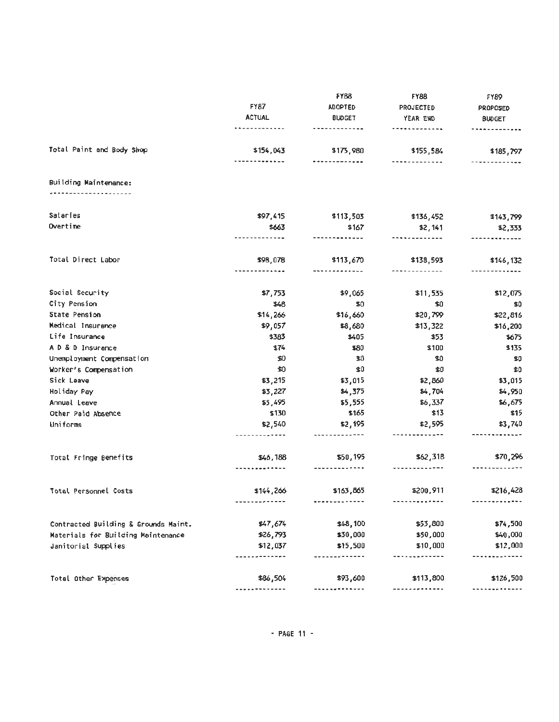|                                      | <b>FY87</b>       | <b>FY88</b><br><b>ADOPTED</b><br><b>ACTUAL</b><br><b>BUDGET</b> | <b>FY88</b><br>PROJECTED | <b>FY89</b><br><b>PROPOSED</b><br><b>BUDGET</b> |
|--------------------------------------|-------------------|-----------------------------------------------------------------|--------------------------|-------------------------------------------------|
|                                      |                   |                                                                 |                          |                                                 |
|                                      |                   |                                                                 | YEAR END                 |                                                 |
|                                      |                   |                                                                 | .                        |                                                 |
| Total Paint and Body Shop            | \$154,043         | \$175,980<br>----------                                         | \$155,584                | \$185,797                                       |
|                                      |                   |                                                                 |                          |                                                 |
| Building Maintenance:                |                   |                                                                 |                          |                                                 |
|                                      |                   |                                                                 |                          |                                                 |
| Salaries                             | \$97,415          | \$113,503                                                       | \$136,452                | \$143,799                                       |
| Overtime                             | \$663             | \$167                                                           | \$2,141                  | \$2,333                                         |
|                                      |                   |                                                                 |                          |                                                 |
| Total Direct Labor                   | \$98,078          | \$113,670                                                       | \$138,593                | \$146,132                                       |
|                                      | -------- <i>-</i> | ---------                                                       |                          |                                                 |
| Social Security                      | \$7,753           | \$9,065                                                         | \$11,535                 | \$12,075                                        |
| City Pension                         | \$48              | \$0                                                             | \$0                      | \$0                                             |
| State Pension                        | \$14,266          | \$16,660                                                        | \$20,799                 | \$22,816                                        |
| Medical Insurance                    | \$9,057           | \$8,680                                                         | \$13,322                 | \$16,200                                        |
| Life Insurance                       | \$383             | \$405                                                           | \$53                     | \$675                                           |
| A D & D Insurance                    | \$74              | \$80                                                            | \$100                    | \$135                                           |
| Unemployment Compensation            | \$0               | \$0                                                             | \$0                      | \$0                                             |
| Worker's Compensation                | \$0               | \$0                                                             | \$0                      | \$0                                             |
| Sick Leave                           | \$3,215           | \$3,015                                                         | \$2,860                  | \$3,015                                         |
| Holiday Pay                          | \$3,227           | \$4,375                                                         | \$4,704                  | \$4,950                                         |
| Annual Leave                         | \$5,495           | \$5,555                                                         | \$6,337                  | \$6,675                                         |
| Other Paid Absence                   | \$130             | \$165                                                           | \$13                     | \$15                                            |
| Uniforms                             | \$2,540           | \$2,195                                                         | \$2,595                  | \$3,740                                         |
|                                      |                   |                                                                 |                          |                                                 |
| Total Fringe Benefits                | \$46,188          | \$50,195                                                        | \$62,318                 | \$70,296                                        |
|                                      |                   |                                                                 |                          |                                                 |
| Total Personnel Costs                | \$144,266         | \$163,865                                                       | \$200,911                | \$216,428                                       |
|                                      | -------------     | -------------                                                   | ------- <b>----</b> --   | -------------                                   |
| Contracted Building & Grounds Maint. | \$47,674          | \$48,100                                                        | \$53,800                 | \$74,500                                        |
| Materials for Building Maintenance   | \$26,793          | \$30,000                                                        | \$50,000                 | \$40,000                                        |
| Janitorial Supplies                  | \$12,037          | \$15,500                                                        | \$10,000                 | \$12,000                                        |
|                                      | -------------     | -------------                                                   | -------------            | ----------                                      |
| Total Other Experises                | \$86,504          | \$93,600                                                        | \$113,800                | \$126,500                                       |
|                                      | <b></b>           | -------------                                                   | -------------            | ----- <i>---</i> -----                          |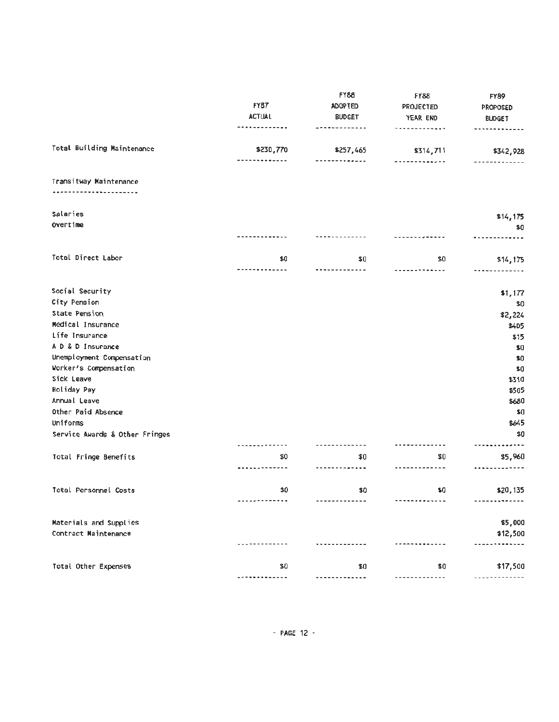|                                |                              | <b>FY88</b>                     | <b>FY88</b>                  | <b>FY89</b>               |
|--------------------------------|------------------------------|---------------------------------|------------------------------|---------------------------|
|                                | <b>FY87</b><br><b>ACTUAL</b> | <b>ADOPTED</b><br><b>BUDGET</b> | <b>PROJECTED</b><br>YEAR END | PROPOSED<br><b>BUDGET</b> |
|                                |                              |                                 |                              |                           |
|                                |                              | -------                         | $- - - - -$                  |                           |
| Total Building Maintenance     | \$230,770                    | \$257,465                       | \$314,711                    | \$342,928                 |
|                                | <b></b>                      | ---------                       |                              |                           |
| Transitway Maintenance         |                              |                                 |                              |                           |
| <b></b>                        |                              |                                 |                              |                           |
| Salaries                       |                              |                                 |                              | \$14,175                  |
| Overtime                       |                              |                                 |                              | \$0                       |
|                                |                              |                                 |                              |                           |
| Total Direct Labor             | \$0                          | \$0                             | \$0                          | \$14,175                  |
|                                |                              |                                 |                              |                           |
| Social Security                |                              |                                 |                              | \$1,177                   |
| City Pension                   |                              |                                 |                              | \$0                       |
| State Pension                  |                              |                                 |                              | \$2,224                   |
| Medical Insurance              |                              |                                 |                              | \$4D5                     |
| Life Insurance                 |                              |                                 |                              | \$15                      |
| A D & D Insurance              |                              |                                 |                              | \$0                       |
| Unemployment Compensation      |                              |                                 |                              | \$0                       |
| Worker's Compensation          |                              |                                 |                              | \$0                       |
| Sick Leave                     |                              |                                 |                              | \$310                     |
| Holiday Pay                    |                              |                                 |                              | \$505                     |
| Annual Leave                   |                              |                                 |                              | \$680                     |
| Other Paid Absence             |                              |                                 |                              | \$0                       |
| Uniforms                       |                              |                                 |                              | \$645                     |
| Service Awards & Other Fringes |                              |                                 |                              | \$0                       |
|                                |                              |                                 |                              |                           |
| Total Fringe Benefits          | \$0                          | \$0                             | \$0                          | \$5,960                   |
|                                |                              |                                 |                              |                           |
| Total Personnel Costs          | \$0                          | \$0                             | \$0                          | \$20,135                  |
|                                | -------------                | -------------                   | -------------                | -------------             |
| Materials and Supplies         |                              |                                 |                              | \$5,000                   |
| Contract Maintenance           |                              |                                 |                              | \$12,500                  |
|                                |                              |                                 |                              |                           |
| Total Other Expenses           | \$0                          | \$0                             | \$0                          | \$17,500                  |
|                                | -------------                | -------------                   | -------------                | -------------             |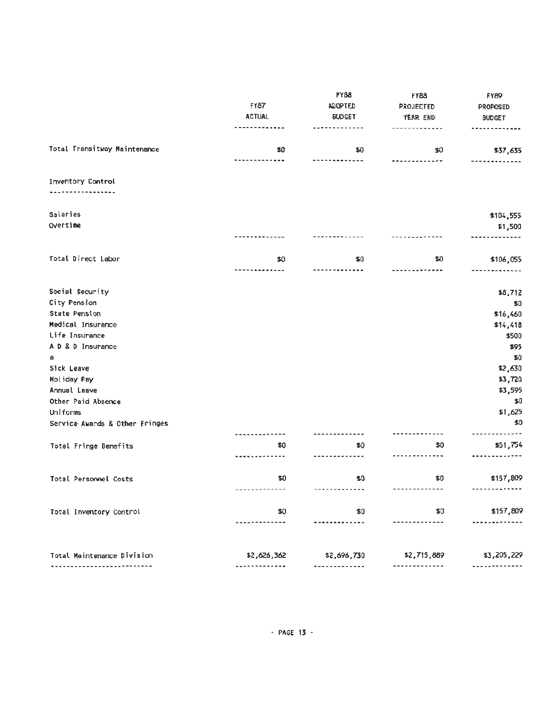|                                |                      | <b>FY88</b>        | <b>FY88</b>      | FY89            |
|--------------------------------|----------------------|--------------------|------------------|-----------------|
|                                | <b>FY87</b>          | <b>ADOPTED</b>     | PROJECTED        | PROPOSED        |
|                                | <b>ACTUAL</b>        | <b>BUDGET</b>      | YEAR END         | <b>BUDGET</b>   |
|                                | ------- <b>--</b> -- |                    |                  |                 |
| Total Transitway Maintenance   | \$Û                  | \$0                | \$0              | \$37,635        |
|                                |                      |                    |                  |                 |
| Inventory Control              |                      |                    |                  |                 |
|                                |                      |                    |                  |                 |
| Salaries                       |                      |                    |                  | \$104,555       |
| Overtime                       |                      |                    |                  | \$1,500         |
|                                |                      |                    |                  |                 |
| Total Direct Labor             | \$0                  | \$0                | \$0              | \$106,055       |
|                                |                      |                    |                  |                 |
| Social Security                |                      |                    |                  | \$8,712         |
| City Pension                   |                      |                    |                  | \$0             |
| State Pension                  |                      |                    |                  | \$16,460        |
| Medical Insurance              |                      |                    |                  | \$14,418        |
| Life Insurance                 |                      |                    |                  | \$500           |
| A D & D Insurance              |                      |                    |                  | \$95            |
| а                              |                      |                    |                  | \$O             |
| Sick Leave                     |                      |                    |                  | \$2,630         |
| Holiday Pay                    |                      |                    |                  | \$3,720         |
| Annual Leave                   |                      |                    |                  | \$3,595         |
| Other Paid Absence             |                      |                    |                  | \$0             |
| Uniforms                       |                      |                    |                  | \$1,625         |
| Service Awards & Other Fringes |                      |                    |                  | \$0             |
|                                |                      |                    |                  |                 |
| Total Fringe Benefits          | \$0                  | \$0                | \$0              | \$51,754        |
|                                |                      |                    |                  |                 |
| Total Personnel Costs          | \$0                  | \$0                | \$0              | \$157,809       |
|                                | -----------          | <b>***********</b> | ------- <i>-</i> |                 |
| Total Inventory Control        | \$0                  | \$0                | \$0              | \$157,809       |
|                                | ----------           | <b></b><br>$- - -$ | -------------    | <b>********</b> |
| Total Maintenance Division     | \$2,626,362          | \$2,696,730        | \$2,715,889      | \$3,205,229     |
| ***************************    | -------------        | . <i>.</i>         | -------------    | .               |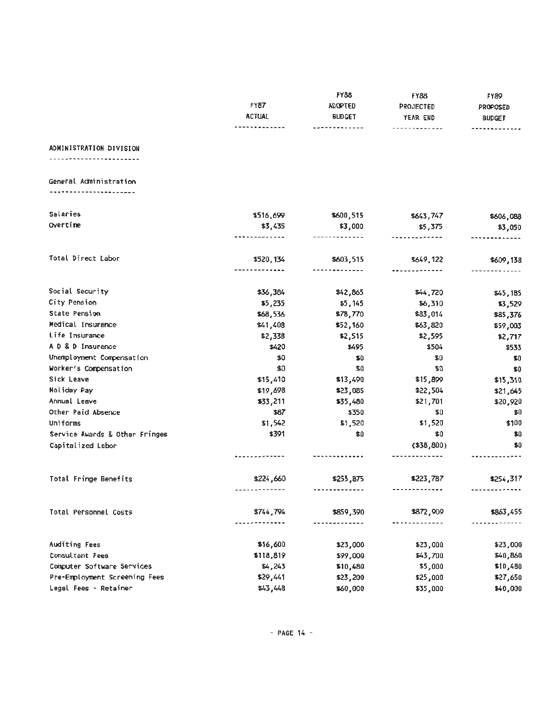|                                |                        | <b>FY88</b>           | <b>FY88</b>            | FY89                   |
|--------------------------------|------------------------|-----------------------|------------------------|------------------------|
|                                | <b>FY87</b>            | <b>ADOPTED</b>        | PROJECTED              | <b>PROPOSED</b>        |
|                                | <b>ACTUAL</b>          | <b>BUDGET</b>         | YEAR END               | <b>BUDGET</b>          |
|                                | -------------          | -------------         | ------- <i>-----</i> - | -------------          |
| ADMINISTRATION DIVISION        |                        |                       |                        |                        |
| -------------------            |                        |                       |                        |                        |
|                                |                        |                       |                        |                        |
| General Administration         |                        |                       |                        |                        |
| <b></b>                        |                        |                       |                        |                        |
| Salaries                       | \$516,699              | \$600,515             | \$643,747              | \$606,088              |
| Overtime                       | \$3,435                | \$3,000               | \$5,375                |                        |
|                                |                        | -------------         | -------------          | \$3,050                |
|                                |                        |                       |                        |                        |
| Total Direct Labor             | \$520,134              | \$603,515             | \$649,122              | \$609,138              |
|                                | ------- <b>---</b> -   | -------------         |                        | --- <i>---------</i> - |
| Social Security                | \$36,384               | \$42,865              | \$44,720               | \$45,185               |
| City Pension                   | \$5,235                | \$5,145               | \$6,310                | \$3,529                |
| State Pension                  | \$68,536               | \$78,770              | \$83,014               | \$85,376               |
| Medical Insurance              | \$41,408               | \$52,160              | \$63,820               | \$59,003               |
| Life Insurance                 | \$2,338                | \$2,515               | \$2,595                | \$2,717                |
| A D & D Insurance              | \$420                  | \$495                 | \$504                  | \$533                  |
| Unemployment Compensation      | \$0                    | \$0                   | \$0                    | \$0                    |
| Worker's Compensation          | \$0                    | \$0                   | \$0                    | \$0                    |
| Sick Leave                     | \$15,410               | \$13,490              | \$15,899               | \$15,310               |
| Holiday Pay                    | \$19,698               | \$23,085              | \$22,504               | \$21,645               |
| Annual Leave                   | \$33,211               | \$35,480              | \$21,701               | \$20,920               |
| Other Paid Absence             | \$87                   | \$350                 | \$0                    | \$0                    |
| Uniforms                       | \$1,542                | \$1,520               | \$1,520                | \$100                  |
| Service Awards & Other Fringes | \$391                  | \$0                   | \$0                    | \$0                    |
| Capitalized Labor              |                        |                       | ( \$38, 800)           | \$0                    |
|                                |                        |                       |                        |                        |
| Total Fringe Benefits          | \$224,660              | \$255,875             | \$223,787              | \$254,317              |
|                                | -------------          | <b>*************</b>  | -------------          | ----------- <b>-</b> - |
|                                |                        |                       |                        |                        |
| Total Personnel Costs          | \$744,794<br>--------- | \$859,390<br>-------- | \$872,909              | \$863,455              |
| Auditing Fees                  | \$16,600               | \$23,000              | \$23,000               | \$23,000               |
| Consultant Fees                | \$118,819              | \$99,000              | \$43,700               | \$40,860               |
| Computer Software Services     | \$4,243                | \$10,480              | \$5,000                | \$10,480               |
| Pre-Employment Screening Fees  | \$29,441               | \$23,200              | \$25,000               | \$27,650               |
| Legal Fees - Retainer          | \$43,448               | \$60,000              | \$35,000               | \$40,000               |
|                                |                        |                       |                        |                        |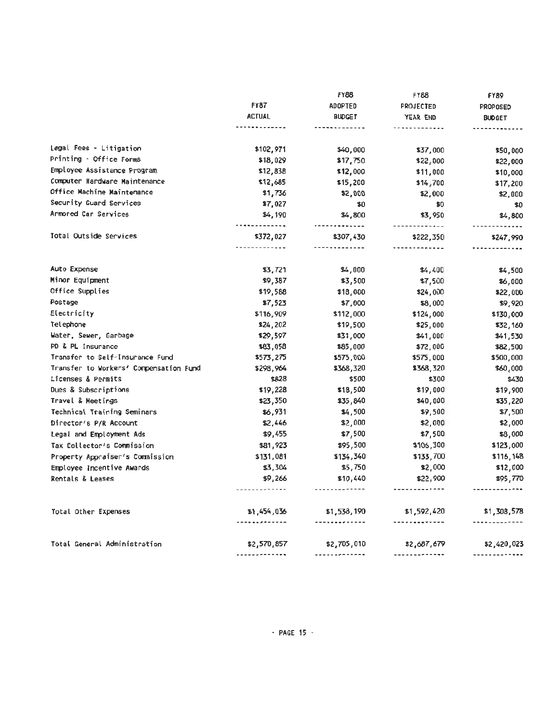|                                        | <b>FY87</b><br><b>ACTUAL</b> | <b>FY88</b>                         | <b>FY88</b>                | <b>FY89</b><br><b>PROPOSED</b> |
|----------------------------------------|------------------------------|-------------------------------------|----------------------------|--------------------------------|
|                                        |                              | ADOPTED                             | <b>PROJECTED</b>           |                                |
|                                        |                              |                                     | <b>BUDGET</b>              | YEAR END                       |
|                                        |                              | -------------                       | -------------              |                                |
| Legal Fees - Litigation                | \$102,971                    | \$40,000                            | \$37,000                   | \$50,000                       |
| Printing - Office Forms                | \$18,029                     | \$17,750                            | \$22,000                   | \$22,000                       |
| Employee Assistance Program            | \$12,838                     | \$12,000                            | \$11,000                   | \$10,000                       |
| Computer Hardware Maintenance          | \$12,685                     | \$15,200                            | \$14,700                   | \$17,200                       |
| Office Machine Maintenance             | \$1,736                      | \$2,000                             | \$2,000                    | \$2,000                        |
| Security Guard Services                | \$7,027                      | \$0                                 | \$0                        | \$0                            |
| Armored Car Services                   | \$4,190                      | \$4,800                             | \$3,950                    | \$4,800                        |
| Total Outside Services                 | -------------<br>\$372,027   | --- <i>--</i> --------<br>\$307,430 | -------------<br>\$222,350 | \$247,990                      |
|                                        | .                            | -------------                       | ---------- <b>--</b> --    | . <i>. .</i>                   |
| Auto Expense                           | \$3,721                      | \$4,000                             | \$4,400                    | \$4,500                        |
| Minor Equipment                        | \$9,387                      | \$3,500                             | \$7,500                    | \$6,000                        |
| Office Supplies                        | \$19,588                     | \$18,000                            | \$24,000                   | \$22,000                       |
| Postage                                | \$7,523                      | \$7,000                             | \$8,000                    | \$9,920                        |
| Electricity                            | \$116,909                    | \$112,000                           | \$124,000                  | \$130,000                      |
| Telephone                              | \$24,202                     | \$19,500                            | \$25,000                   | \$32,160                       |
| Water, Sewer, Garbage                  | \$29,597                     | \$31,000                            | \$41,000                   | \$41,530                       |
| PD & PL Insurance                      | \$83,058                     | \$85,000                            | \$72,000                   | \$82,500                       |
| Transfer to Self-Insurance Fund        | \$573,275                    | \$575,000                           | \$575,000                  | \$500,000                      |
| Transfer to Workers' Compensation Fund | \$298,964                    | \$368,320                           | \$368,320                  | \$60,000                       |
| Licenses & Permits                     | \$828                        | \$500                               | \$300                      | \$430                          |
| Dues & Subscriptions                   | \$19,228                     | \$18,500                            | \$19,000                   | \$19,900                       |
| Travel & Meetings                      | \$23,350                     | \$35,840                            | \$40,000                   | \$35,220                       |
| Technical Training Seminars            | \$6,931                      | \$4,500                             | \$9,500                    | \$7,500                        |
| Director's P/R Account                 | \$2,446                      | \$2,000                             | \$2,000                    | \$2,000                        |
| Legal and Employment Ads               | \$9,455                      | \$7,500                             | \$7,500                    | \$8,000                        |
| Tax Collector's Commission             | \$81,923                     | \$95,500                            | \$106,300                  | \$123,000                      |
| Property Appraiser's Commission        | \$131,081                    | \$134,340                           | \$133,700                  | \$116,148                      |
| Employee Incentive Awards              | \$3,304                      | \$5,750                             | \$2,000                    | \$12,000                       |
| Rentals & Leases                       | \$9,266                      | \$10,440<br>                        | \$22,900                   | \$95,770                       |
| Total Other Expenses                   | \$1,454,036                  | \$1,538,190                         | \$1,592,420                | \$1,308,578                    |
| Total General Administration           | \$2,570,857                  | \$2,705,010                         | \$2,687,679                | \$2,420,023                    |
|                                        |                              |                                     |                            |                                |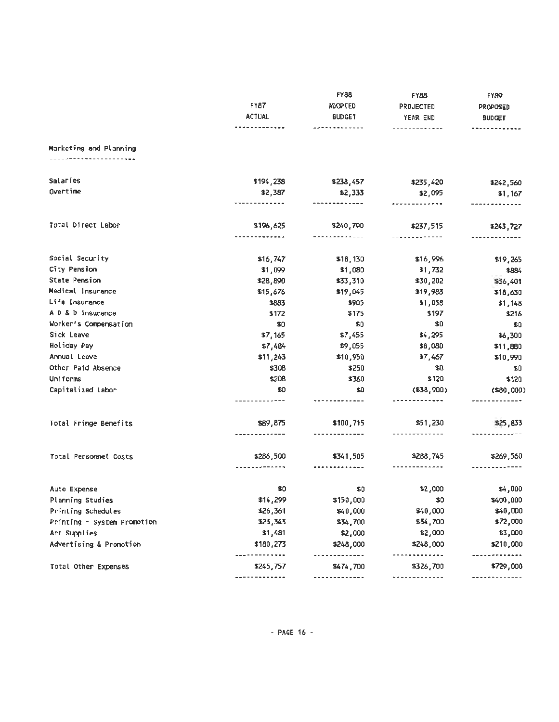|                             |                       | <b>FY88</b>                | <b>FY88</b>                 | <b>FY89</b>               |
|-----------------------------|-----------------------|----------------------------|-----------------------------|---------------------------|
|                             | <b>FY87</b>           | <b>ADOPTED</b>             | <b>PROJECTED</b>            | PROPOSED<br><b>BUDGET</b> |
|                             | <b>ACTUAL</b>         | <b>BUDGET</b>              | YEAR END                    |                           |
|                             | <u></u>               |                            |                             | . <b>.</b> .              |
| Marketing and Planning      |                       |                            |                             |                           |
| -----------------           |                       |                            |                             |                           |
| Salaries                    | \$194,238             | \$238,457                  | \$235,420                   | \$242,560                 |
| Overtime                    | \$2,387               | \$2,333                    | \$2,095                     | \$1,167                   |
|                             | -------------         | -------------              | .                           |                           |
| Total Direct Labor          | \$196,625             | \$240,790                  | \$237,515                   | \$243,727                 |
|                             | ----------            | -------------              | --- <i>---------</i> -      | -------- <b>----</b> -    |
| Social Security             | \$16,747              | \$18,130                   | \$16,996                    | \$19,265                  |
| City Pension                | \$1,099               | \$1,080                    | \$1,732                     | \$884                     |
| <b>State Pension</b>        | \$28,890              | \$33,310                   | \$30,202                    | \$36,401                  |
| Medical Insurance           | \$15,676              | \$19,045                   | \$19,983                    | \$18,630                  |
| Life Insurance              | \$883                 | \$905                      | \$1,058                     | \$1,148                   |
| A D & D Insurance           | \$172                 | \$175                      | \$197                       | \$216                     |
| Worker's Compensation       | \$0                   | \$0                        | \$0                         | \$0                       |
| Sick Leave                  | \$7,165               | \$7,455                    | \$4,295                     | \$6,300                   |
| Holiday Pay                 | \$7,484               | \$9,055                    | \$8,080                     | \$11,880                  |
| Annual Leave                | \$11,243              | \$10,950                   | \$7,467                     | \$10,990                  |
| Other Paid Absence          | \$308                 | \$250                      | \$0                         | \$0                       |
| Uniforms                    | \$208                 | \$360                      | \$120                       | \$120                     |
| Capitalized Labor           | \$0                   | \$0                        | (\$38,900)<br>------------- | $($ \$80,000 $)$          |
|                             |                       |                            |                             |                           |
| Total Fringe Benefits       | \$89,875              | \$100,715<br>------------- | \$51,230<br>-------------   | \$25,833                  |
| Total Personnel Costs       | \$286,500             | \$341,505                  | \$288,745                   | \$269,560                 |
|                             | -----------           | ------- <i>------</i>      | -------------               |                           |
| Auto Expense                | \$0                   | \$0                        | \$2,000                     | \$4,000                   |
| Planning Studies            | \$14,299              | \$150,000                  | \$0                         | \$400,000                 |
| Printing Schedules          | \$26,361              | \$40,000                   | \$40,000                    | \$40,0DO                  |
| Printing - System Promotion | \$23,343              | \$34,700                   | \$34,700                    | \$72,000                  |
| Art Supplies                | \$1,481               | \$2,000                    | \$2,000                     | \$3,000                   |
| Advertising & Promotion     | \$180,273             | \$248,000                  | \$248,000                   | \$210,000                 |
| Total Other Expenses        | --------<br>\$245,757 | ----------<br>\$474,700    | ----------<br>\$326,700     | ---------<br>\$729,000    |
|                             |                       |                            |                             |                           |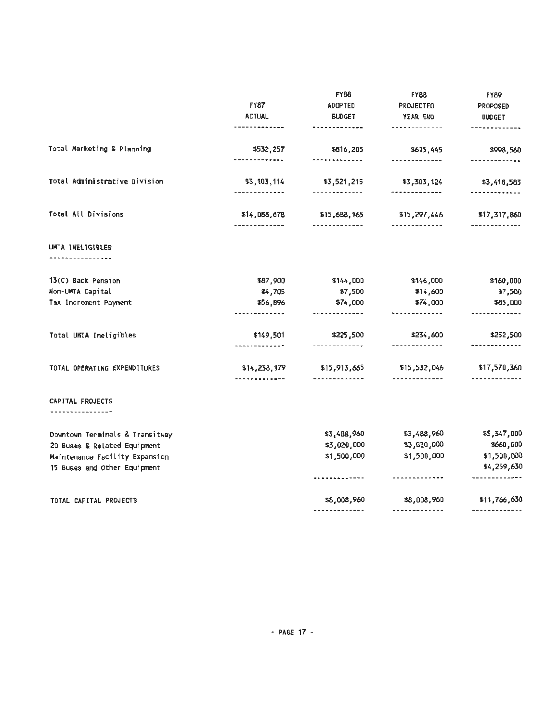|                                                                |                                      | <b>FY88</b>                  | <b>FY88</b>                         | <b>FY89</b>                        |
|----------------------------------------------------------------|--------------------------------------|------------------------------|-------------------------------------|------------------------------------|
|                                                                | <b>FY87</b>                          | ADOPTED                      | <b>PROJECTEO</b>                    | PROPOSED                           |
|                                                                | <b>ACTUAL</b>                        | <b>BUDGET</b>                | YEAR END                            | <b>BUDGET</b>                      |
|                                                                | -------------                        | -------------                | -------------                       | -------------                      |
| Total Marketing & Planning                                     | \$532,257<br>--------- <b>---</b> -  | \$816,205<br>-------------   | \$615,445<br>--------- <b>--</b> -- | \$998,560<br>------------ <b>-</b> |
|                                                                |                                      |                              |                                     |                                    |
| Total Administrative Division                                  | \$3,103,114<br>---------- <b>---</b> | \$3,521,215<br>------------- | \$3,303,124<br>-------------        | \$3,418,583<br>-------------       |
| Total All Divisions                                            | \$14,088,678                         | \$15,688,165                 | \$15,297,446                        | \$17,317,860                       |
|                                                                | -------------                        | ------ <b>----</b> ---       | --------------                      | -------------                      |
| UMTA INELIGIBLES                                               |                                      |                              |                                     |                                    |
| .                                                              |                                      |                              |                                     |                                    |
| 13(C) Back Pension                                             | \$87,900                             | \$144,000                    | \$146,000                           | \$160,000                          |
| Non-UMTA Capital                                               | \$4,705                              | \$7,500                      | \$14,600                            | \$7,500                            |
| Tax Increment Payment                                          | \$56,896<br>-------------            | \$74,000<br>-------------    | \$74,000<br><u>.</u>                | \$85,000<br>-------------          |
|                                                                |                                      |                              |                                     |                                    |
| Total UMTA Ineligibles                                         | \$149,501                            | \$225,500                    | \$234,600                           | \$252,500                          |
|                                                                | -------- <b>-----</b>                | -------------                | -------------                       |                                    |
| TOTAL OPERATING EXPENDITURES                                   | \$14,238,179                         | \$15,913,665                 | \$15,532,046                        | \$17,570,360                       |
|                                                                | -------------                        | -------------                | -------------                       |                                    |
| CAPITAL PROJECTS                                               |                                      |                              |                                     |                                    |
|                                                                |                                      |                              | \$3,488,960                         | \$5,347,000                        |
| Downtown Terminals & Transitway                                |                                      | \$3,488,960<br>\$3,020,000   | \$3,020,000                         | \$660,000                          |
| 20 Buses & Related Equipment                                   |                                      | \$1,500,000                  | \$1,500,000                         | \$1,500,000                        |
| Maintenance Facility Expansion<br>15 Buses and Other Equipment |                                      |                              |                                     | \$4,259,630                        |
|                                                                |                                      | -------------                | -------------                       | -------------                      |
| TOTAL CAPITAL PROJECTS                                         |                                      | \$8,008,960                  | \$8,008,960                         | \$11,766,630                       |
|                                                                |                                      |                              | ---------------                     |                                    |